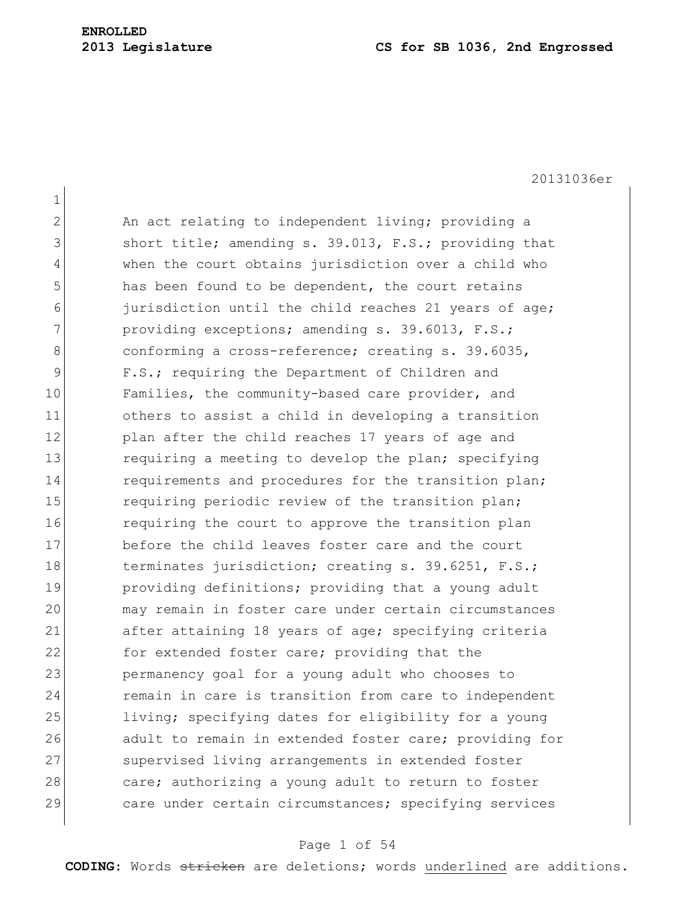#### **2013 Legislature CS for SB 1036, 2nd Engrossed**

20131036er

1 2 An act relating to independent living; providing a 3 short title; amending s. 39.013, F.S.; providing that 4 when the court obtains jurisdiction over a child who 5 has been found to be dependent, the court retains 6 furisdiction until the child reaches 21 years of age; 7 providing exceptions; amending s. 39.6013, F.S.; 8 conforming a cross-reference; creating s. 39.6035, 9 F.S.; requiring the Department of Children and 10 Families, the community-based care provider, and 11 others to assist a child in developing a transition 12 plan after the child reaches 17 years of age and 13 requiring a meeting to develop the plan; specifying 14 requirements and procedures for the transition plan; 15 requiring periodic review of the transition plan; 16 **requiring the court to approve the transition plan** 17 before the child leaves foster care and the court 18 terminates jurisdiction; creating s. 39.6251, F.S.; 19 **providing definitions;** providing that a young adult 20 may remain in foster care under certain circumstances 21 after attaining 18 years of age; specifying criteria 22 for extended foster care; providing that the 23 permanency goal for a young adult who chooses to 24 remain in care is transition from care to independent 25 living; specifying dates for eligibility for a young 26 adult to remain in extended foster care; providing for 27 supervised living arrangements in extended foster 28 care; authorizing a young adult to return to foster 29 care under certain circumstances; specifying services

#### Page 1 of 54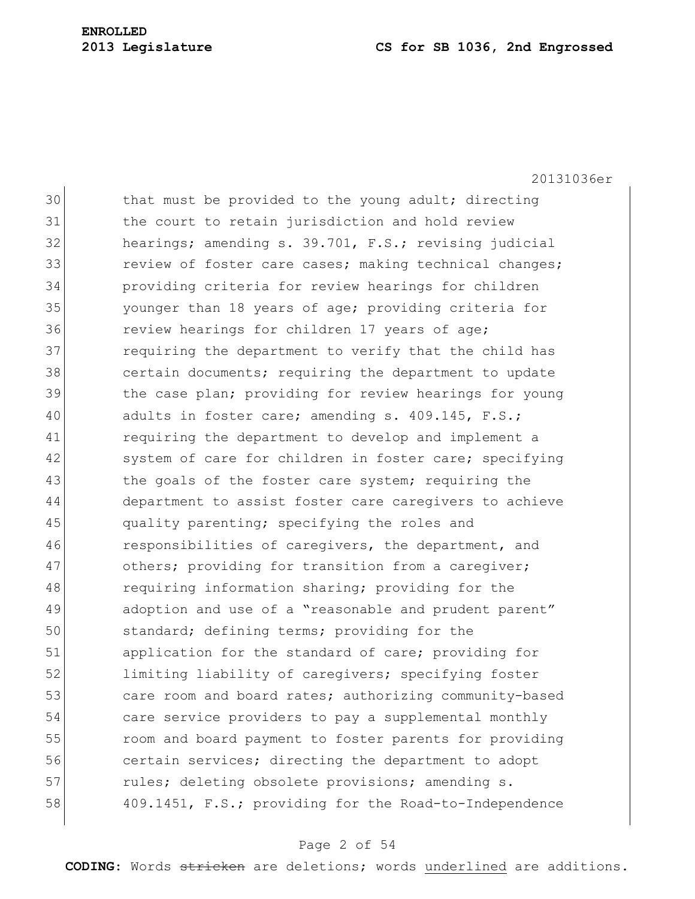#### **2013 Legislature CS for SB 1036, 2nd Engrossed**

20131036er 30 that must be provided to the young adult; directing 31 the court to retain jurisdiction and hold review 32 hearings; amending s. 39.701, F.S.; revising judicial 33 review of foster care cases; making technical changes; 34 providing criteria for review hearings for children 35 younger than 18 years of age; providing criteria for 36 **review hearings for children 17 years of age;** 37 **requiring the department to verify that the child has** 38 certain documents; requiring the department to update 39 the case plan; providing for review hearings for young 40 adults in foster care; amending s. 409.145, F.S.; 41 requiring the department to develop and implement a 42 system of care for children in foster care; specifying 43 the goals of the foster care system; requiring the 44 department to assist foster care caregivers to achieve 45 quality parenting; specifying the roles and 46 **responsibilities of caregivers, the department, and** 47 others; providing for transition from a caregiver; 48 requiring information sharing; providing for the 49 adoption and use of a "reasonable and prudent parent" 50 standard; defining terms; providing for the 51 **b** application for the standard of care; providing for 52 limiting liability of caregivers; specifying foster 53 care room and board rates; authorizing community-based 54 care service providers to pay a supplemental monthly 55 **room** and board payment to foster parents for providing 56 **certain services;** directing the department to adopt 57 rules; deleting obsolete provisions; amending s. 58 409.1451, F.S.; providing for the Road-to-Independence

#### Page 2 of 54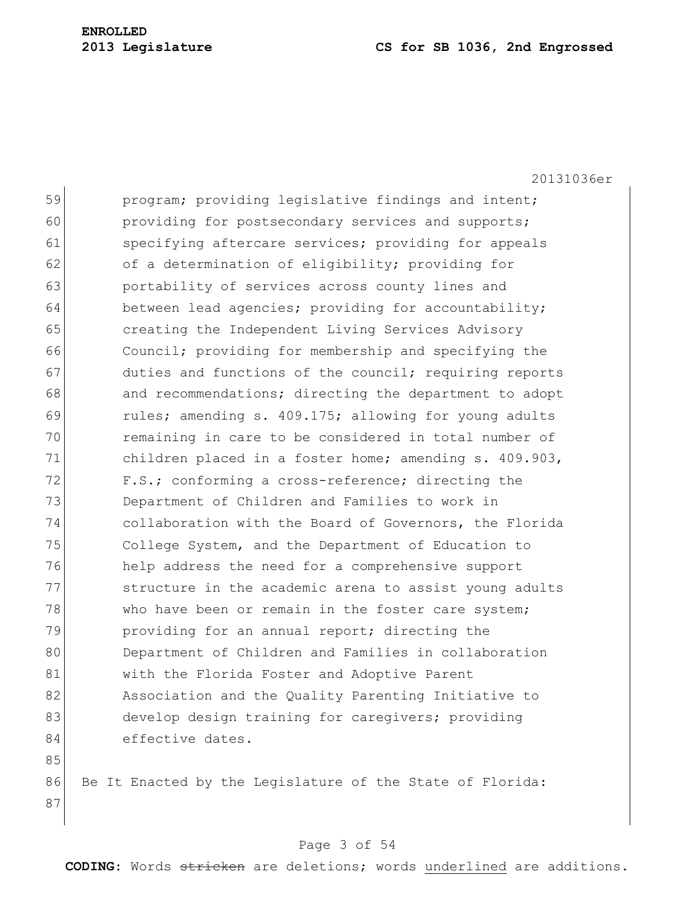87

#### **2013 Legislature CS for SB 1036, 2nd Engrossed**

20131036er

59 program; providing legislative findings and intent; 60 **providing for postsecondary services and supports;** 61 specifying aftercare services; providing for appeals 62 of a determination of eligibility; providing for 63 **portability of services across county lines and** 64 between lead agencies; providing for accountability; 65 **creating the Independent Living Services Advisory** 66 Council; providing for membership and specifying the 67 duties and functions of the council; requiring reports 68 and recommendations; directing the department to adopt 69 rules; amending s. 409.175; allowing for young adults 70 remaining in care to be considered in total number of 71 children placed in a foster home; amending s. 409.903, 72 F.S.; conforming a cross-reference; directing the 73 Department of Children and Families to work in 74 collaboration with the Board of Governors, the Florida 75 College System, and the Department of Education to 76 help address the need for a comprehensive support 77 Structure in the academic arena to assist young adults 78 who have been or remain in the foster care system; 79 providing for an annual report; directing the 80 Department of Children and Families in collaboration 81 With the Florida Foster and Adoptive Parent 82 Association and the Quality Parenting Initiative to 83 develop design training for caregivers; providing 84 effective dates. 85

86 Be It Enacted by the Legislature of the State of Florida:

#### Page 3 of 54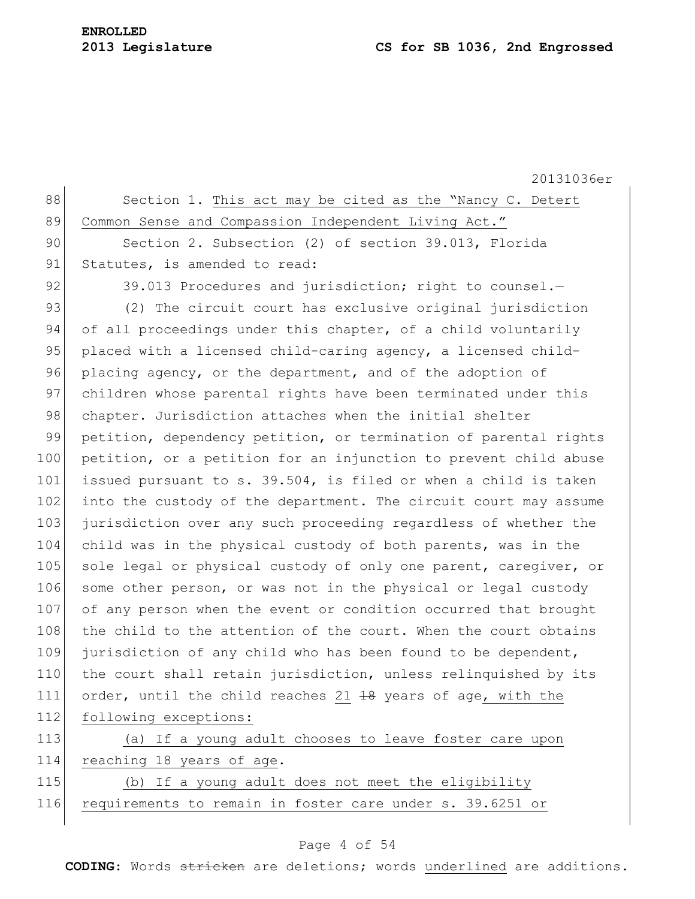# **ENROLLED**

#### **2013 Legislature CS for SB 1036, 2nd Engrossed**

20131036er 88 Section 1. This act may be cited as the "Nancy C. Detert 89 Common Sense and Compassion Independent Living Act." 90 Section 2. Subsection (2) of section 39.013, Florida 91 Statutes, is amended to read: 92 39.013 Procedures and jurisdiction; right to counsel. 93 (2) The circuit court has exclusive original jurisdiction 94 of all proceedings under this chapter, of a child voluntarily 95 placed with a licensed child-caring agency, a licensed child-96 placing agency, or the department, and of the adoption of 97 children whose parental rights have been terminated under this 98 chapter. Jurisdiction attaches when the initial shelter 99 petition, dependency petition, or termination of parental rights 100 petition, or a petition for an injunction to prevent child abuse 101 issued pursuant to s. 39.504, is filed or when a child is taken 102 into the custody of the department. The circuit court may assume 103 jurisdiction over any such proceeding regardless of whether the 104 child was in the physical custody of both parents, was in the 105 sole legal or physical custody of only one parent, caregiver, or 106 some other person, or was not in the physical or legal custody 107 of any person when the event or condition occurred that brought 108 the child to the attention of the court. When the court obtains 109 jurisdiction of any child who has been found to be dependent, 110 the court shall retain jurisdiction, unless relinquished by its 111 order, until the child reaches 21 <del>18</del> years of age, with the 112 following exceptions: 113 (a) If a young adult chooses to leave foster care upon 114 reaching 18 years of age. 115 (b) If a young adult does not meet the eligibility 116 requirements to remain in foster care under s. 39.6251 or

#### Page 4 of 54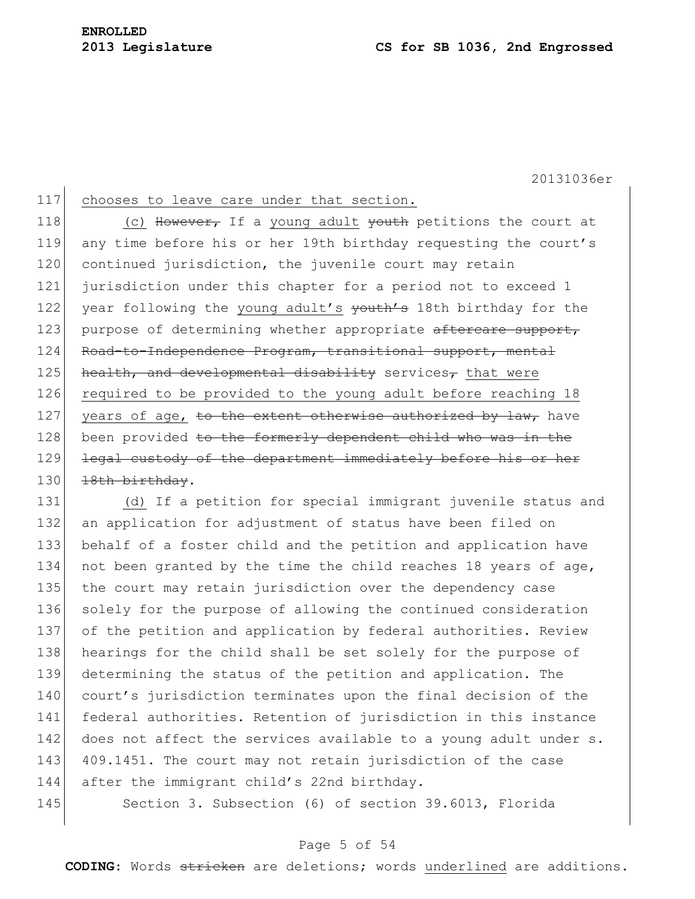117 chooses to leave care under that section.

118 (c) However, If a young adult youth petitions the court at 119 any time before his or her 19th birthday requesting the court's 120 continued jurisdiction, the juvenile court may retain 121 jurisdiction under this chapter for a period not to exceed 1 122 year following the young adult's youth's 18th birthday for the 123 purpose of determining whether appropriate aftercare support, 124 Road-to-Independence Program, transitional support, mental 125 health, and developmental disability services, that were 126 required to be provided to the young adult before reaching 18 127 years of age, to the extent otherwise authorized by law, have 128 been provided to the formerly dependent child who was in the 129 legal custody of the department immediately before his or her  $130$  18th birthday.

131 (d) If a petition for special immigrant juvenile status and 132 an application for adjustment of status have been filed on 133 behalf of a foster child and the petition and application have 134 not been granted by the time the child reaches 18 years of age, 135 the court may retain jurisdiction over the dependency case 136 solely for the purpose of allowing the continued consideration 137 of the petition and application by federal authorities. Review 138 hearings for the child shall be set solely for the purpose of 139 determining the status of the petition and application. The 140 court's jurisdiction terminates upon the final decision of the 141 federal authorities. Retention of jurisdiction in this instance 142 does not affect the services available to a young adult under s. 143 409.1451. The court may not retain jurisdiction of the case 144 after the immigrant child's 22nd birthday.

145 Section 3. Subsection (6) of section 39.6013, Florida

### Page 5 of 54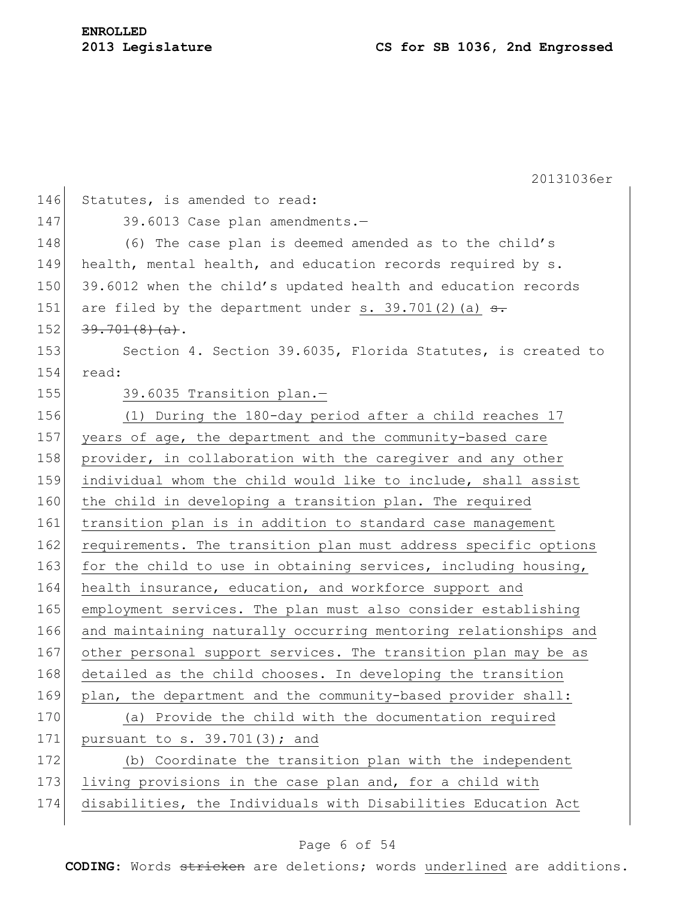|     | 20131036er                                                      |
|-----|-----------------------------------------------------------------|
| 146 | Statutes, is amended to read:                                   |
| 147 | 39.6013 Case plan amendments.-                                  |
| 148 | (6) The case plan is deemed amended as to the child's           |
| 149 | health, mental health, and education records required by s.     |
| 150 | 39.6012 when the child's updated health and education records   |
| 151 | are filed by the department under s. $39.701(2)$ (a) $s$ .      |
| 152 | $39.701(8)(a)$ .                                                |
| 153 | Section 4. Section 39.6035, Florida Statutes, is created to     |
| 154 | read:                                                           |
| 155 | 39.6035 Transition plan.-                                       |
| 156 | (1) During the 180-day period after a child reaches 17          |
| 157 | years of age, the department and the community-based care       |
| 158 | provider, in collaboration with the caregiver and any other     |
| 159 | individual whom the child would like to include, shall assist   |
| 160 | the child in developing a transition plan. The required         |
| 161 | transition plan is in addition to standard case management      |
| 162 | requirements. The transition plan must address specific options |
| 163 | for the child to use in obtaining services, including housing,  |
| 164 | health insurance, education, and workforce support and          |
| 165 | employment services. The plan must also consider establishing   |
| 166 | and maintaining naturally occurring mentoring relationships and |
| 167 | other personal support services. The transition plan may be as  |
| 168 | detailed as the child chooses. In developing the transition     |
| 169 | plan, the department and the community-based provider shall:    |
| 170 | (a) Provide the child with the documentation required           |
| 171 | pursuant to s. 39.701(3); and                                   |
| 172 | (b) Coordinate the transition plan with the independent         |
| 173 | living provisions in the case plan and, for a child with        |
| 174 | disabilities, the Individuals with Disabilities Education Act   |
|     |                                                                 |

# Page 6 of 54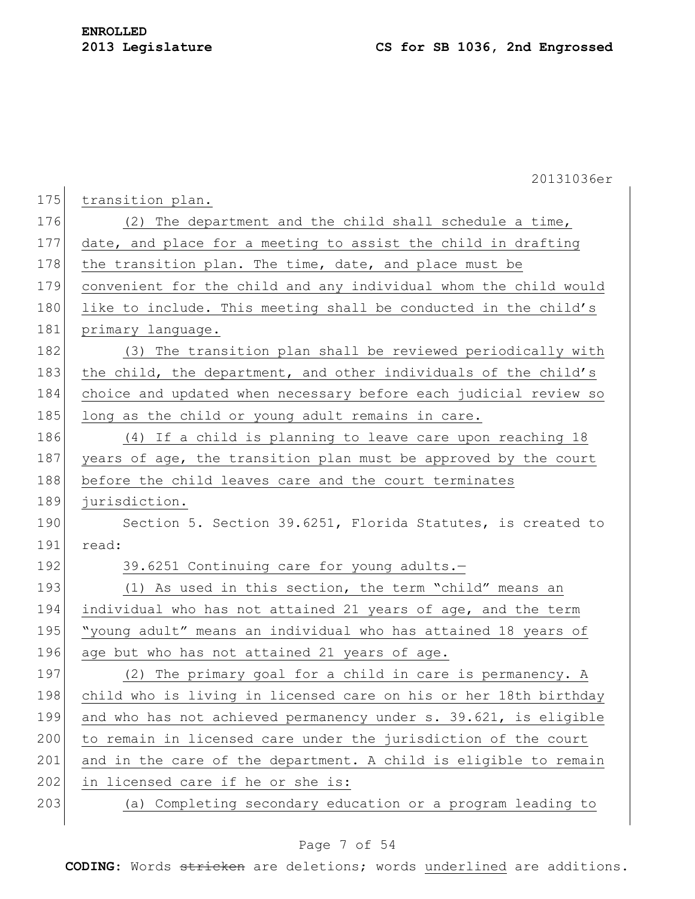|     | 20131036er                                                       |
|-----|------------------------------------------------------------------|
| 175 | transition plan.                                                 |
| 176 | (2) The department and the child shall schedule a time,          |
| 177 | date, and place for a meeting to assist the child in drafting    |
| 178 | the transition plan. The time, date, and place must be           |
| 179 | convenient for the child and any individual whom the child would |
| 180 | like to include. This meeting shall be conducted in the child's  |
| 181 | primary language.                                                |
| 182 | (3) The transition plan shall be reviewed periodically with      |
| 183 | the child, the department, and other individuals of the child's  |
| 184 | choice and updated when necessary before each judicial review so |
| 185 | long as the child or young adult remains in care.                |
| 186 | (4) If a child is planning to leave care upon reaching 18        |
| 187 | years of age, the transition plan must be approved by the court  |
| 188 | before the child leaves care and the court terminates            |
| 189 | jurisdiction.                                                    |
| 190 | Section 5. Section 39.6251, Florida Statutes, is created to      |
| 191 | read:                                                            |
| 192 | 39.6251 Continuing care for young adults.-                       |
| 193 | (1) As used in this section, the term "child" means an           |
| 194 | individual who has not attained 21 years of age, and the term    |
| 195 | "young adult" means an individual who has attained 18 years of   |
| 196 | age but who has not attained 21 years of age.                    |
| 197 | (2) The primary goal for a child in care is permanency. A        |
| 198 | child who is living in licensed care on his or her 18th birthday |
| 199 | and who has not achieved permanency under s. 39.621, is eligible |
| 200 | to remain in licensed care under the jurisdiction of the court   |
| 201 | and in the care of the department. A child is eligible to remain |
| 202 | in licensed care if he or she is:                                |
| 203 | (a) Completing secondary education or a program leading to       |
|     |                                                                  |

# Page 7 of 54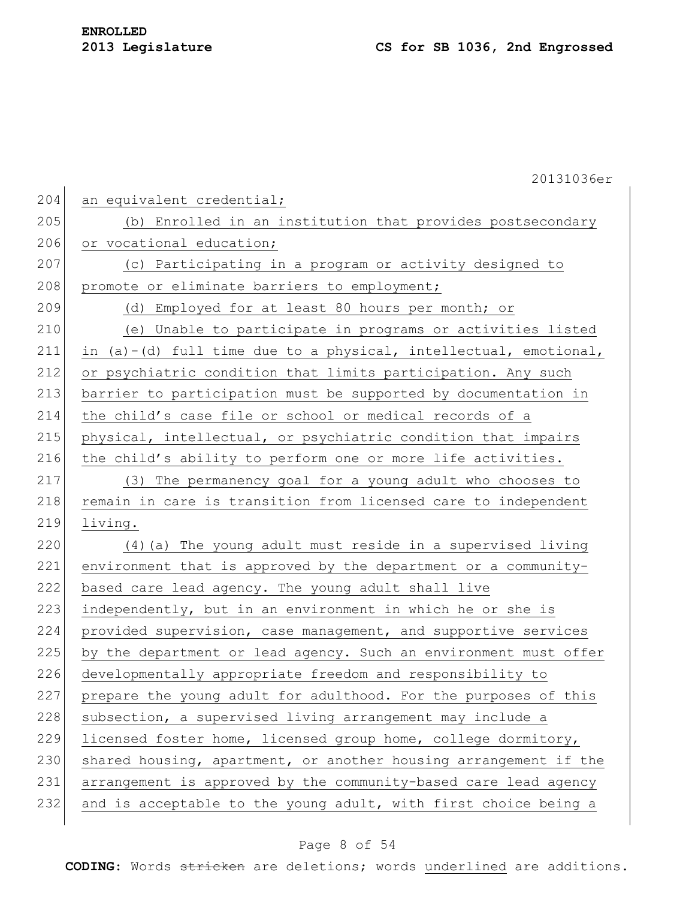|     | 20131036er                                                       |
|-----|------------------------------------------------------------------|
| 204 | an equivalent credential;                                        |
| 205 | (b) Enrolled in an institution that provides postsecondary       |
| 206 | or vocational education;                                         |
| 207 | (c) Participating in a program or activity designed to           |
| 208 | promote or eliminate barriers to employment;                     |
| 209 | (d) Employed for at least 80 hours per month; or                 |
| 210 | (e) Unable to participate in programs or activities listed       |
| 211 | in (a)-(d) full time due to a physical, intellectual, emotional, |
| 212 | or psychiatric condition that limits participation. Any such     |
| 213 | barrier to participation must be supported by documentation in   |
| 214 | the child's case file or school or medical records of a          |
| 215 | physical, intellectual, or psychiatric condition that impairs    |
| 216 | the child's ability to perform one or more life activities.      |
| 217 | (3) The permanency goal for a young adult who chooses to         |
| 218 | remain in care is transition from licensed care to independent   |
| 219 | living.                                                          |
| 220 | (4) (a) The young adult must reside in a supervised living       |
| 221 | environment that is approved by the department or a community-   |
| 222 | based care lead agency. The young adult shall live               |
| 223 | independently, but in an environment in which he or she is       |
| 224 | provided supervision, case management, and supportive services   |
| 225 | by the department or lead agency. Such an environment must offer |
| 226 | developmentally appropriate freedom and responsibility to        |
| 227 | prepare the young adult for adulthood. For the purposes of this  |
| 228 | subsection, a supervised living arrangement may include a        |
| 229 | licensed foster home, licensed group home, college dormitory,    |
| 230 | shared housing, apartment, or another housing arrangement if the |
| 231 | arrangement is approved by the community-based care lead agency  |
| 232 | and is acceptable to the young adult, with first choice being a  |
|     |                                                                  |

# Page 8 of 54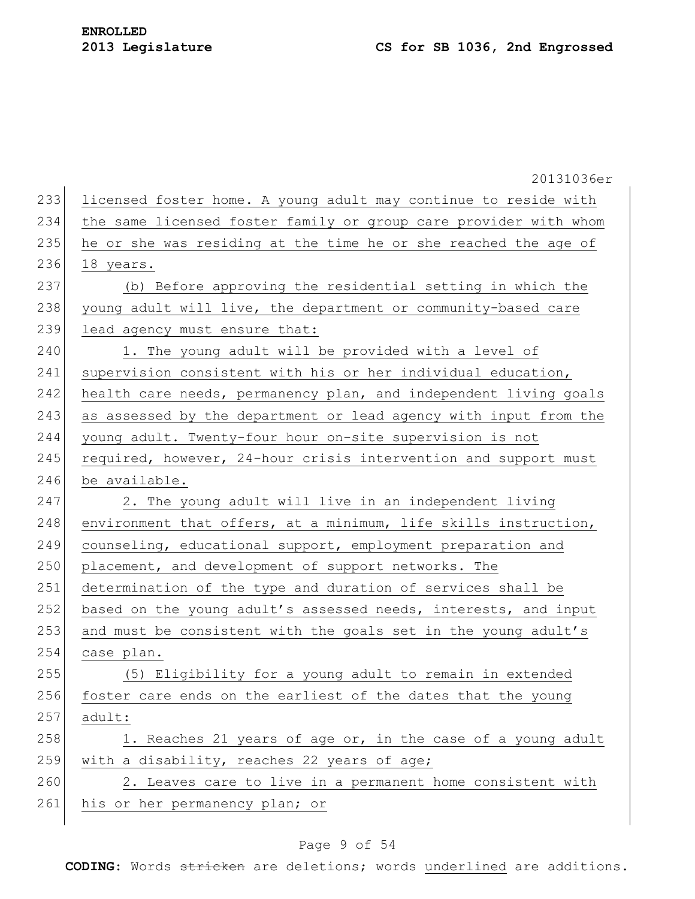|     | 20131036er                                                       |
|-----|------------------------------------------------------------------|
| 233 | licensed foster home. A young adult may continue to reside with  |
| 234 | the same licensed foster family or group care provider with whom |
| 235 | he or she was residing at the time he or she reached the age of  |
| 236 | 18 years.                                                        |
| 237 | (b) Before approving the residential setting in which the        |
| 238 | young adult will live, the department or community-based care    |
| 239 | lead agency must ensure that:                                    |
| 240 | 1. The young adult will be provided with a level of              |
| 241 | supervision consistent with his or her individual education,     |
| 242 | health care needs, permanency plan, and independent living goals |
| 243 | as assessed by the department or lead agency with input from the |
| 244 | young adult. Twenty-four hour on-site supervision is not         |
| 245 | required, however, 24-hour crisis intervention and support must  |
| 246 | be available.                                                    |
| 247 | 2. The young adult will live in an independent living            |
| 248 | environment that offers, at a minimum, life skills instruction,  |
| 249 | counseling, educational support, employment preparation and      |
| 250 | placement, and development of support networks. The              |
| 251 | determination of the type and duration of services shall be      |
| 252 | based on the young adult's assessed needs, interests, and input  |
| 253 | and must be consistent with the goals set in the young adult's   |
| 254 | case plan.                                                       |
| 255 | (5) Eligibility for a young adult to remain in extended          |
| 256 | foster care ends on the earliest of the dates that the young     |
| 257 | adult:                                                           |
| 258 | 1. Reaches 21 years of age or, in the case of a young adult      |
| 259 | with a disability, reaches 22 years of age;                      |
| 260 | 2. Leaves care to live in a permanent home consistent with       |
| 261 | his or her permanency plan; or                                   |
|     |                                                                  |

# Page 9 of 54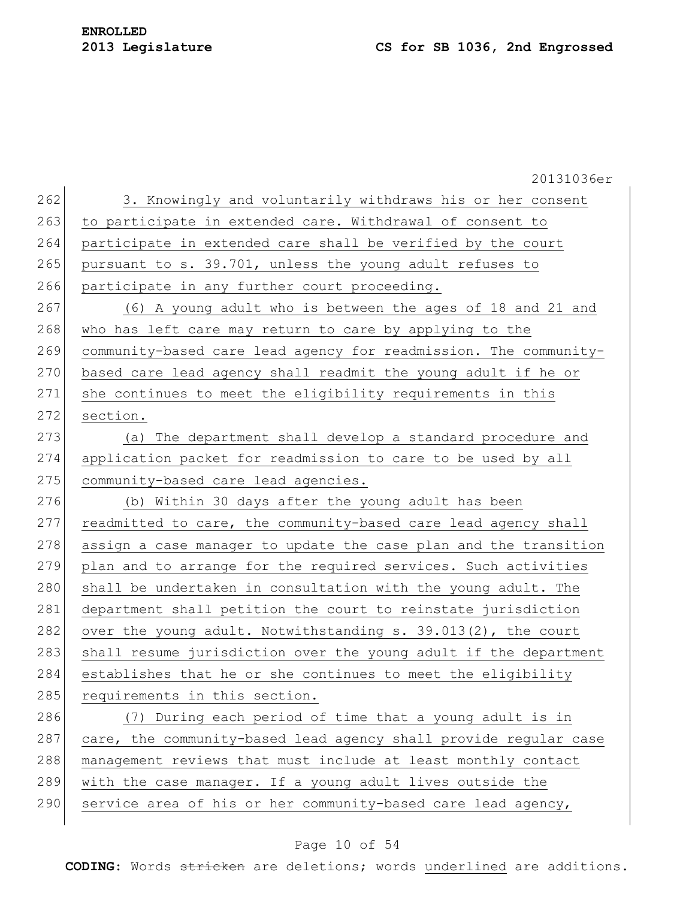|     | 20131036er                                                       |
|-----|------------------------------------------------------------------|
| 262 | 3. Knowingly and voluntarily withdraws his or her consent        |
| 263 | to participate in extended care. Withdrawal of consent to        |
| 264 | participate in extended care shall be verified by the court      |
| 265 | pursuant to s. 39.701, unless the young adult refuses to         |
| 266 | participate in any further court proceeding.                     |
| 267 | (6) A young adult who is between the ages of 18 and 21 and       |
| 268 | who has left care may return to care by applying to the          |
| 269 | community-based care lead agency for readmission. The community- |
| 270 | based care lead agency shall readmit the young adult if he or    |
| 271 | she continues to meet the eligibility requirements in this       |
| 272 | section.                                                         |
| 273 | (a) The department shall develop a standard procedure and        |
| 274 | application packet for readmission to care to be used by all     |
| 275 | community-based care lead agencies.                              |
| 276 | (b) Within 30 days after the young adult has been                |
| 277 | readmitted to care, the community-based care lead agency shall   |
| 278 | assign a case manager to update the case plan and the transition |
| 279 | plan and to arrange for the required services. Such activities   |
| 280 | shall be undertaken in consultation with the young adult. The    |
| 281 | department shall petition the court to reinstate jurisdiction    |
| 282 | over the young adult. Notwithstanding s. 39.013(2), the court    |
| 283 | shall resume jurisdiction over the young adult if the department |
| 284 | establishes that he or she continues to meet the eligibility     |
| 285 | requirements in this section.                                    |
| 286 | (7) During each period of time that a young adult is in          |
| 287 | care, the community-based lead agency shall provide regular case |
| 288 | management reviews that must include at least monthly contact    |
| 289 | with the case manager. If a young adult lives outside the        |
| 290 | service area of his or her community-based care lead agency,     |
|     |                                                                  |

# Page 10 of 54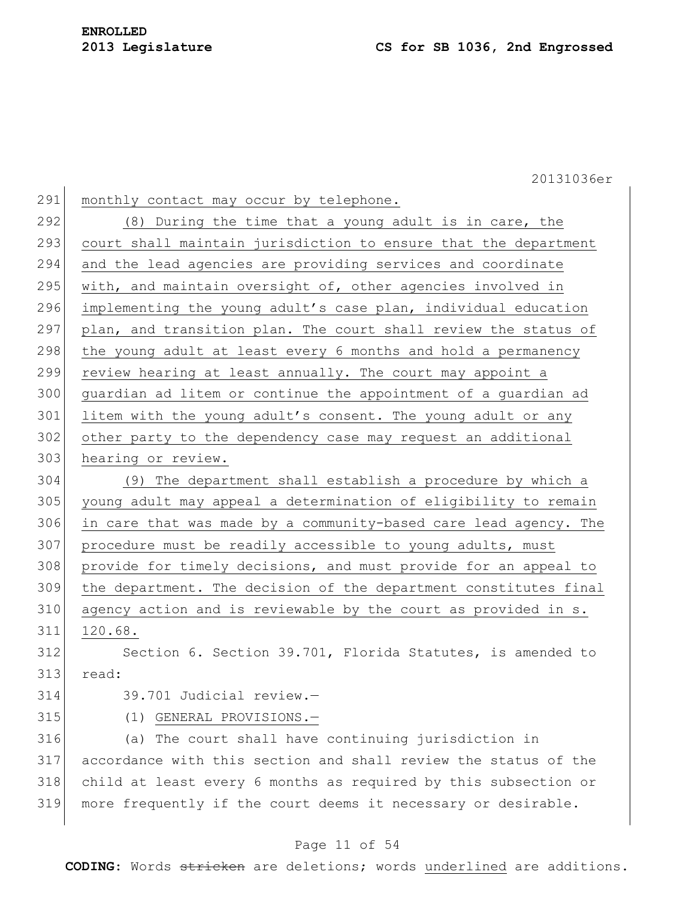| 291 | monthly contact may occur by telephone.                          |
|-----|------------------------------------------------------------------|
| 292 | (8) During the time that a young adult is in care, the           |
| 293 | court shall maintain jurisdiction to ensure that the department  |
| 294 | and the lead agencies are providing services and coordinate      |
| 295 | with, and maintain oversight of, other agencies involved in      |
| 296 | implementing the young adult's case plan, individual education   |
| 297 | plan, and transition plan. The court shall review the status of  |
| 298 | the young adult at least every 6 months and hold a permanency    |
| 299 | review hearing at least annually. The court may appoint a        |
| 300 | guardian ad litem or continue the appointment of a guardian ad   |
| 301 | litem with the young adult's consent. The young adult or any     |
| 302 | other party to the dependency case may request an additional     |
| 303 | hearing or review.                                               |
| 304 | (9) The department shall establish a procedure by which a        |
| 305 | young adult may appeal a determination of eligibility to remain  |
| 306 | in care that was made by a community-based care lead agency. The |
| 307 | procedure must be readily accessible to young adults, must       |
| 308 | provide for timely decisions, and must provide for an appeal to  |
| 309 | the department. The decision of the department constitutes final |
| 310 | agency action and is reviewable by the court as provided in s.   |
| 311 | 120.68.                                                          |
| 312 | Section 6. Section 39.701, Florida Statutes, is amended to       |
| 313 | read:                                                            |
| 314 | 39.701 Judicial review.-                                         |
| 315 | (1) GENERAL PROVISIONS.-                                         |
| 316 | (a) The court shall have continuing jurisdiction in              |
| 317 | accordance with this section and shall review the status of the  |
| 318 | child at least every 6 months as required by this subsection or  |
| 319 | more frequently if the court deems it necessary or desirable.    |
|     |                                                                  |
|     |                                                                  |

## Page 11 of 54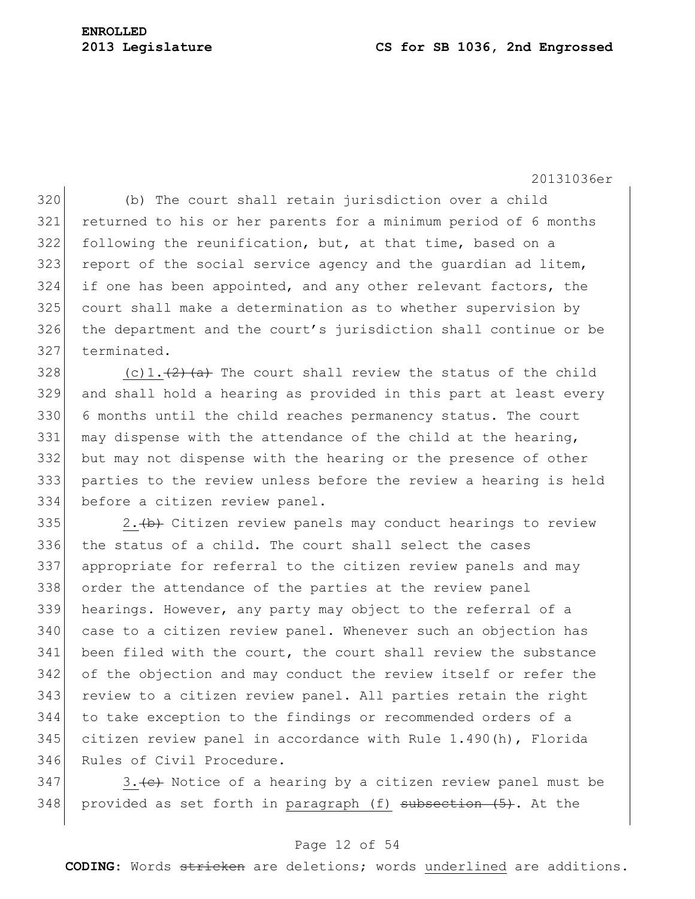320 (b) The court shall retain jurisdiction over a child returned to his or her parents for a minimum period of 6 months 322 following the reunification, but, at that time, based on a 323 report of the social service agency and the quardian ad litem, if one has been appointed, and any other relevant factors, the court shall make a determination as to whether supervision by the department and the court's jurisdiction shall continue or be 327 terminated.

328 (c)1. $(2)$  (a) The court shall review the status of the child and shall hold a hearing as provided in this part at least every 6 months until the child reaches permanency status. The court may dispense with the attendance of the child at the hearing, but may not dispense with the hearing or the presence of other parties to the review unless before the review a hearing is held before a citizen review panel.

335 2.  $\leftrightarrow$  Citizen review panels may conduct hearings to review the status of a child. The court shall select the cases appropriate for referral to the citizen review panels and may order the attendance of the parties at the review panel hearings. However, any party may object to the referral of a case to a citizen review panel. Whenever such an objection has been filed with the court, the court shall review the substance of the objection and may conduct the review itself or refer the review to a citizen review panel. All parties retain the right to take exception to the findings or recommended orders of a citizen review panel in accordance with Rule 1.490(h), Florida Rules of Civil Procedure.

 3.  $\leftarrow$  Notice of a hearing by a citizen review panel must be 348 provided as set forth in paragraph (f) subsection  $(5)$ . At the

#### Page 12 of 54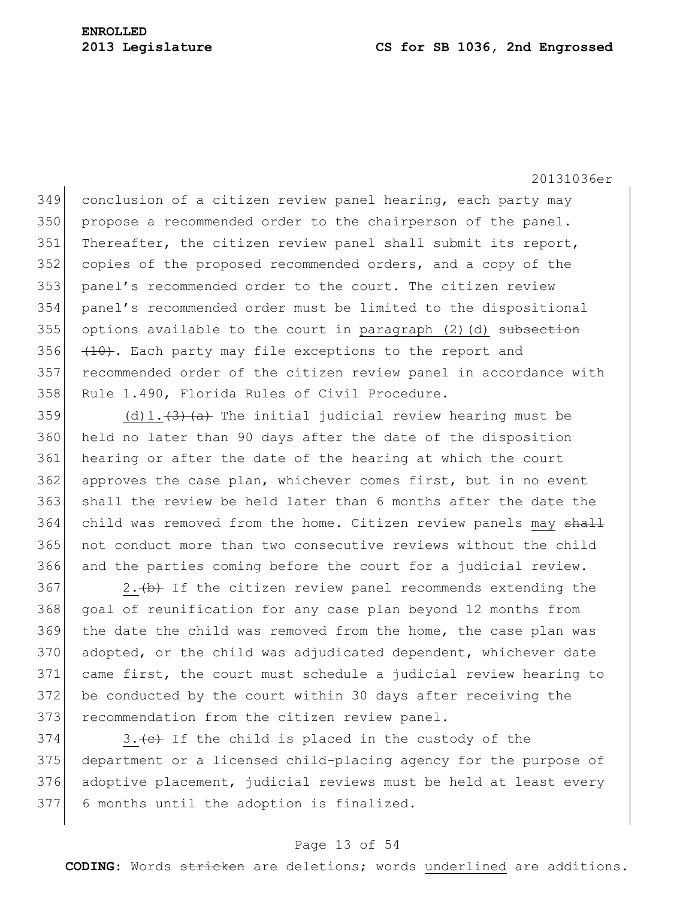conclusion of a citizen review panel hearing, each party may propose a recommended order to the chairperson of the panel. 351 Thereafter, the citizen review panel shall submit its report, copies of the proposed recommended orders, and a copy of the panel's recommended order to the court. The citizen review panel's recommended order must be limited to the dispositional 355 options available to the court in paragraph (2)(d) subsection  $(10)$ . Each party may file exceptions to the report and recommended order of the citizen review panel in accordance with Rule 1.490, Florida Rules of Civil Procedure.

359 (d)1. $(3)$  (d)  $(4)$  The initial judicial review hearing must be held no later than 90 days after the date of the disposition hearing or after the date of the hearing at which the court 362 approves the case plan, whichever comes first, but in no event shall the review be held later than 6 months after the date the 364 child was removed from the home. Citizen review panels may shall not conduct more than two consecutive reviews without the child and the parties coming before the court for a judicial review.

 2.  $\leftrightarrow$  If the citizen review panel recommends extending the goal of reunification for any case plan beyond 12 months from 369 the date the child was removed from the home, the case plan was 370 adopted, or the child was adjudicated dependent, whichever date came first, the court must schedule a judicial review hearing to be conducted by the court within 30 days after receiving the 373 recommendation from the citizen review panel.

 3.  $\leftarrow$  If the child is placed in the custody of the department or a licensed child-placing agency for the purpose of adoptive placement, judicial reviews must be held at least every 6 months until the adoption is finalized.

### Page 13 of 54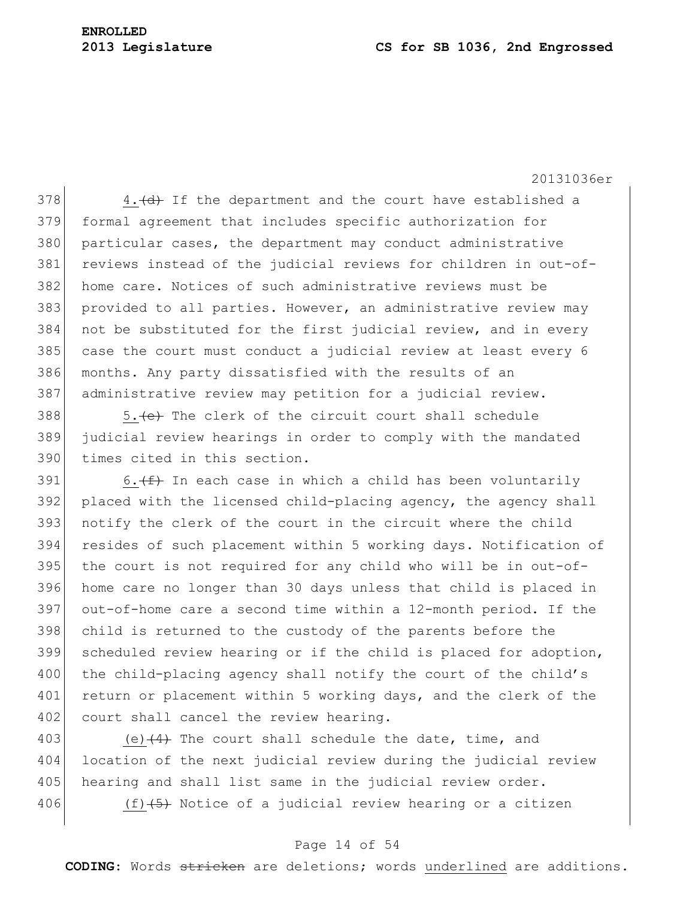# **ENROLLED**

#### **2013 Legislature CS for SB 1036, 2nd Engrossed**

20131036er

 $\vert$  4.  $\left\{ d \right\}$  If the department and the court have established a formal agreement that includes specific authorization for particular cases, the department may conduct administrative 381 reviews instead of the judicial reviews for children in out-of- home care. Notices of such administrative reviews must be provided to all parties. However, an administrative review may not be substituted for the first judicial review, and in every case the court must conduct a judicial review at least every 6 months. Any party dissatisfied with the results of an 387 administrative review may petition for a judicial review.

388 5. (e) The clerk of the circuit court shall schedule 389 judicial review hearings in order to comply with the mandated 390 times cited in this section.

391 6.  $(f)$  In each case in which a child has been voluntarily placed with the licensed child-placing agency, the agency shall notify the clerk of the court in the circuit where the child resides of such placement within 5 working days. Notification of the court is not required for any child who will be in out-of- home care no longer than 30 days unless that child is placed in out-of-home care a second time within a 12-month period. If the child is returned to the custody of the parents before the scheduled review hearing or if the child is placed for adoption, 400 the child-placing agency shall notify the court of the child's 401 return or placement within 5 working days, and the clerk of the 402 court shall cancel the review hearing.

403 (e) $\left(4\right)$  The court shall schedule the date, time, and 404 location of the next judicial review during the judicial review 405 hearing and shall list same in the judicial review order. 406  $(f)$  (f)  $(f)$  Notice of a judicial review hearing or a citizen

### Page 14 of 54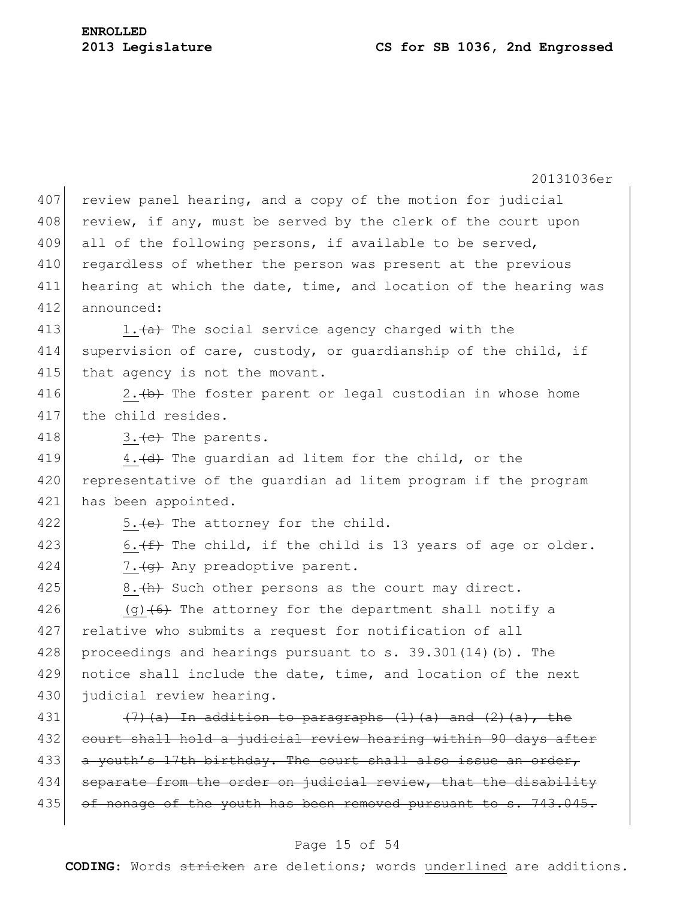20131036er 407 review panel hearing, and a copy of the motion for judicial 408 review, if any, must be served by the clerk of the court upon 409 all of the following persons, if available to be served, 410 regardless of whether the person was present at the previous 411 hearing at which the date, time, and location of the hearing was 412 announced: 413 1. $\leftarrow$  1.  $\leftarrow$  The social service agency charged with the 414 supervision of care, custody, or quardianship of the child, if 415 that agency is not the movant. 416  $\vert$  2.  $\vert$ b) The foster parent or legal custodian in whose home 417 the child resides. 418  $\vert$  3. (c) The parents. 419  $\vert$  4.  $\left\{ \frac{d}{dt} \right\}$  The quardian ad litem for the child, or the 420 representative of the guardian ad litem program if the program 421 has been appointed. 422  $\sim$  5. (e) The attorney for the child. 423 6.  $(f)$  The child, if the child is 13 years of age or older. 424  $7 \cdot \text{ (g)}$  Any preadoptive parent. 425 8.  $\langle h \rangle$  Such other persons as the court may direct. 426 (g)  $(6)$  The attorney for the department shall notify a 427 relative who submits a request for notification of all 428 proceedings and hearings pursuant to s. 39.301(14)(b). The 429 notice shall include the date, time, and location of the next 430 judicial review hearing. 431  $(7)$  (a) In addition to paragraphs  $(1)$  (a) and  $(2)$  (a), the 432 court shall hold a judicial review hearing within 90 days after 433 a youth's 17th birthday. The court shall also issue an order, 434 separate from the order on judicial review, that the disability 435 of nonage of the youth has been removed pursuant to s. 743.045.

#### Page 15 of 54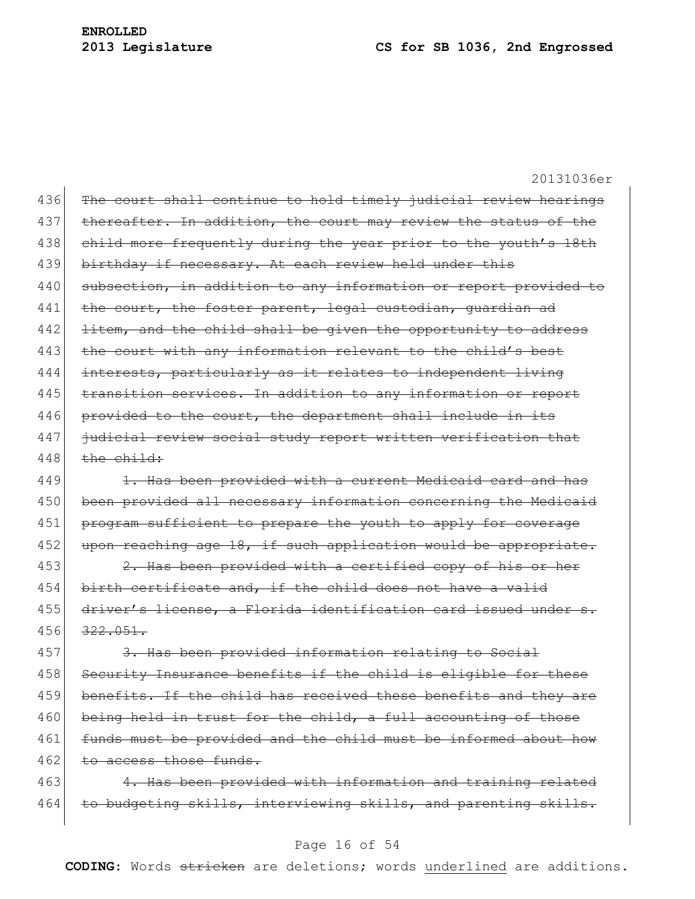20131036er 436 The court shall continue to hold timely judicial review hearings 437 thereafter. In addition, the court may review the status of the 438 child more frequently during the year prior to the youth's 18th 439 birthday if necessary. At each review held under this 440 subsection, in addition to any information or report provided to 441 the court, the foster parent, legal custodian, quardian ad  $442$  litem, and the child shall be given the opportunity to address 443 the court with any information relevant to the child's best 444 interests, particularly as it relates to independent living 445 transition services. In addition to any information or report 446 provided to the court, the department shall include in its 447 | judicial review social study report written verification that  $448$  the child: 449 1. Has been provided with a current Medicaid card and has 450 been provided all necessary information concerning the Medicaid 451 program sufficient to prepare the youth to apply for coverage

452 upon reaching age 18, if such application would be appropriate.

453 2. Has been provided with a certified copy of his or her 454 birth certificate and, if the child does not have a valid 455 driver's license, a Florida identification card issued under s.  $456$   $322.051$ .

457 3. Has been provided information relating to Social 458 Security Insurance benefits if the child is eligible for these 459 benefits. If the child has received these benefits and they are 460 being held in trust for the child, a full accounting of those 461 funds must be provided and the child must be informed about how 462 to access those funds.

463 4. Has been provided with information and training related 464 to budgeting skills, interviewing skills, and parenting skills.

#### Page 16 of 54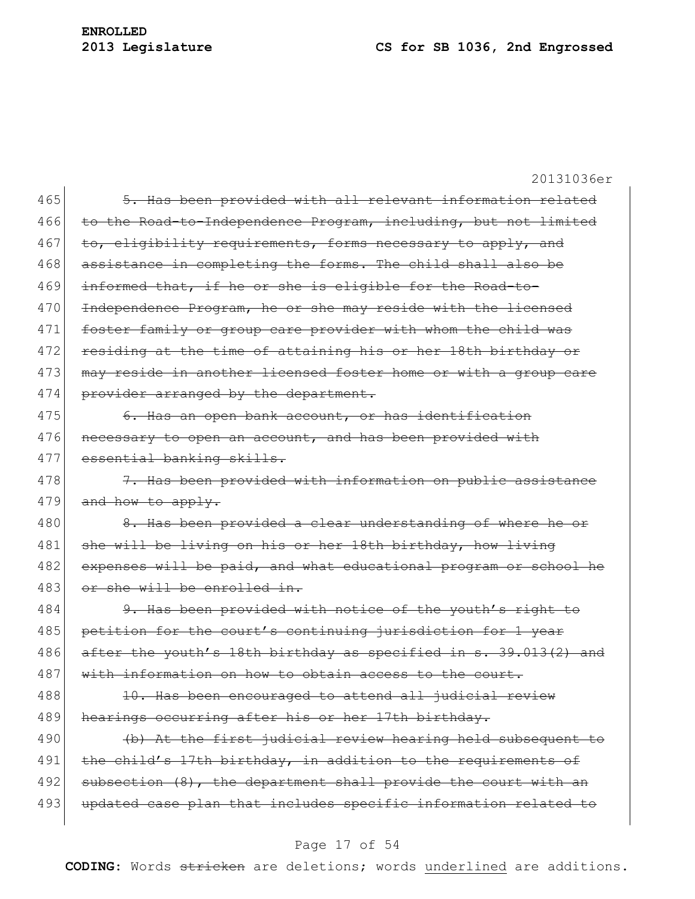|     | 20131036er                                                       |
|-----|------------------------------------------------------------------|
| 465 | 5. Has been provided with all relevant information related       |
| 466 | to the Road-to-Independence Program, including, but not limited  |
| 467 | to, eligibility requirements, forms necessary to apply, and      |
| 468 | assistance in completing the forms. The child shall also be      |
| 469 | informed that, if he or she is eligible for the Road-to-         |
| 470 | Independence Program, he or she may reside with the licensed     |
| 471 | foster family or group care provider with whom the child was     |
| 472 | residing at the time of attaining his or her 18th birthday or    |
| 473 | may reside in another licensed foster home or with a group care  |
| 474 | provider arranged by the department.                             |
| 475 | 6. Has an open bank account, or has identification               |
| 476 | necessary to open an account, and has been provided with         |
| 477 | essential banking skills.                                        |
| 478 | 7. Has been provided with information on public assistance       |
| 479 | and how to apply.                                                |
| 480 | 8. Has been provided a clear understanding of where he or        |
| 481 | she will be living on his or her 18th birthday, how living       |
| 482 | expenses will be paid, and what educational program or school he |
| 483 | or she will be enrolled in.                                      |
| 484 | 9. Has been provided with notice of the youth's right to         |
| 485 | petition for the court's continuing jurisdiction for 1 year      |
| 486 | after the youth's 18th birthday as specified in s. 39.013(2) and |
| 487 | with information on how to obtain access to the court.           |
| 488 | 10. Has been encouraged to attend all judicial review            |
| 489 | hearings occurring after his or her 17th birthday.               |
| 490 | (b) At the first judicial review hearing held subsequent to      |
| 491 | the child's 17th birthday, in addition to the requirements of    |
| 492 | subsection (8), the department shall provide the court with an   |
| 493 | updated case plan that includes specific information related to  |
|     |                                                                  |

# Page 17 of 54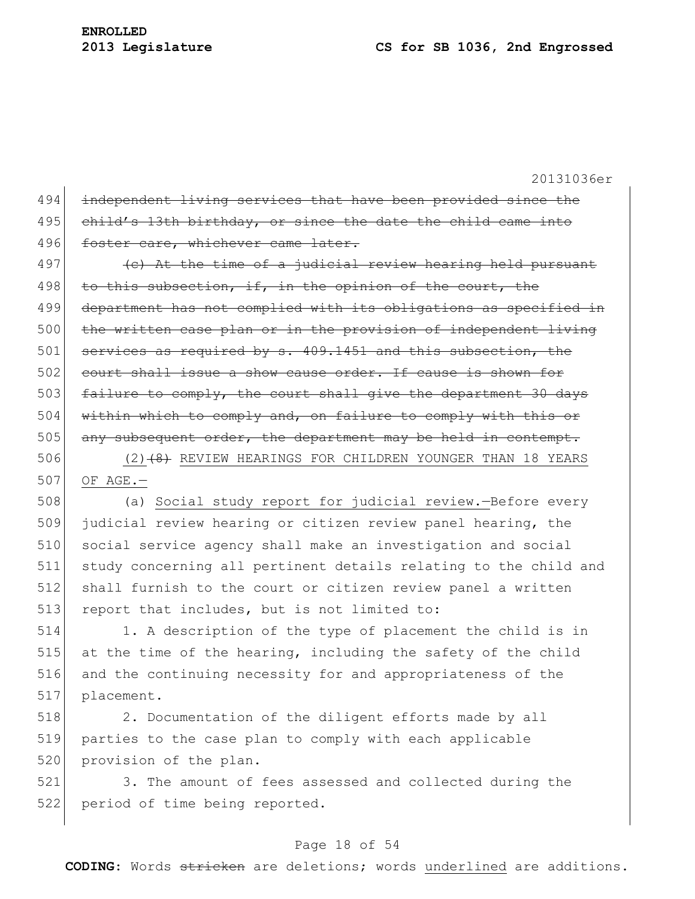20131036er 494 independent living services that have been provided since the 495 child's 13th birthday, or since the date the child came into 496 foster care, whichever came later.  $497$  (c) At the time of a judicial review hearing held pursuant 498 to this subsection, if, in the opinion of the court, the 499 department has not complied with its obligations as specified in 500 the written case plan or in the provision of independent living 501 services as required by s. 409.1451 and this subsection, the 502 court shall issue a show cause order. If cause is shown for 503 failure to comply, the court shall give the department 30 days 504 within which to comply and, on failure to comply with this or 505 any subsequent order, the department may be held in contempt. 506 (2)<del>(8)</del> REVIEW HEARINGS FOR CHILDREN YOUNGER THAN 18 YEARS 507 OF AGE.— 508 (a) Social study report for judicial review.—Before every 509 judicial review hearing or citizen review panel hearing, the 510 social service agency shall make an investigation and social 511 study concerning all pertinent details relating to the child and 512 shall furnish to the court or citizen review panel a written 513 report that includes, but is not limited to: 514 1. A description of the type of placement the child is in 515 at the time of the hearing, including the safety of the child 516 and the continuing necessity for and appropriateness of the 517 placement. 518 2. Documentation of the diligent efforts made by all

519 parties to the case plan to comply with each applicable 520 provision of the plan.

521 3. The amount of fees assessed and collected during the 522 period of time being reported.

#### Page 18 of 54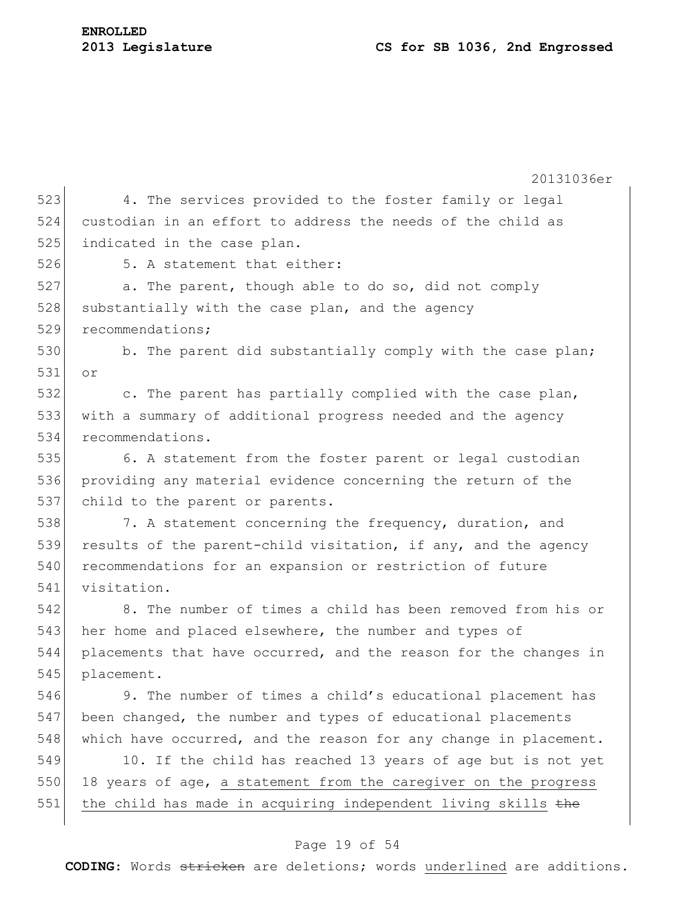# **ENROLLED**

## **2013 Legislature CS for SB 1036, 2nd Engrossed**

|     | 20131036er                                                       |
|-----|------------------------------------------------------------------|
| 523 | 4. The services provided to the foster family or legal           |
| 524 | custodian in an effort to address the needs of the child as      |
| 525 | indicated in the case plan.                                      |
| 526 | 5. A statement that either:                                      |
| 527 | a. The parent, though able to do so, did not comply              |
| 528 | substantially with the case plan, and the agency                 |
| 529 | recommendations;                                                 |
| 530 | b. The parent did substantially comply with the case plan;       |
| 531 | or                                                               |
| 532 | c. The parent has partially complied with the case plan,         |
| 533 | with a summary of additional progress needed and the agency      |
| 534 | recommendations.                                                 |
| 535 | 6. A statement from the foster parent or legal custodian         |
| 536 | providing any material evidence concerning the return of the     |
| 537 | child to the parent or parents.                                  |
| 538 | 7. A statement concerning the frequency, duration, and           |
| 539 | results of the parent-child visitation, if any, and the agency   |
| 540 | recommendations for an expansion or restriction of future        |
| 541 | visitation.                                                      |
| 542 | 8. The number of times a child has been removed from his or      |
| 543 | her home and placed elsewhere, the number and types of           |
| 544 | placements that have occurred, and the reason for the changes in |
| 545 | placement.                                                       |
| 546 | 9. The number of times a child's educational placement has       |
| 547 | been changed, the number and types of educational placements     |
| 548 | which have occurred, and the reason for any change in placement. |
| 549 | 10. If the child has reached 13 years of age but is not yet      |
| 550 | 18 years of age, a statement from the caregiver on the progress  |
| 551 | the child has made in acquiring independent living skills the    |
|     |                                                                  |

## Page 19 of 54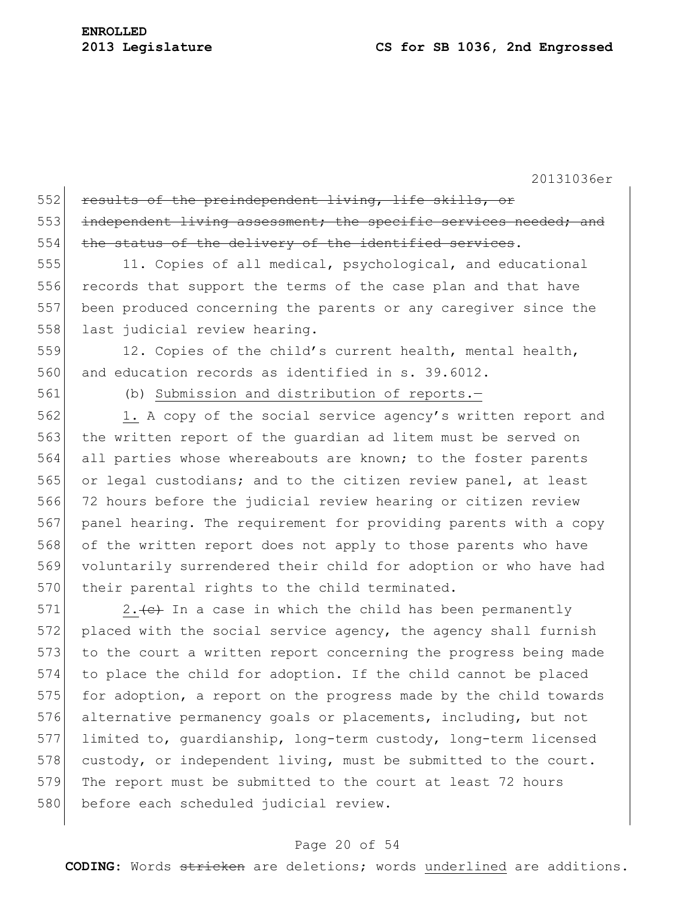| 552 | results of the preindependent living, life skills, or                   |
|-----|-------------------------------------------------------------------------|
| 553 | independent living assessment; the specific services needed; and        |
| 554 | the status of the delivery of the identified services.                  |
| 555 | 11. Copies of all medical, psychological, and educational               |
| 556 | records that support the terms of the case plan and that have           |
| 557 | been produced concerning the parents or any caregiver since the         |
| 558 | last judicial review hearing.                                           |
| 559 | 12. Copies of the child's current health, mental health,                |
| 560 | and education records as identified in s. 39.6012.                      |
| 561 | (b) Submission and distribution of reports.-                            |
| 562 | 1. A copy of the social service agency's written report and             |
| 563 | the written report of the guardian ad litem must be served on           |
| 564 | all parties whose whereabouts are known; to the foster parents          |
| 565 | or legal custodians; and to the citizen review panel, at least          |
| 566 | 72 hours before the judicial review hearing or citizen review           |
| 567 | panel hearing. The requirement for providing parents with a copy        |
| 568 | of the written report does not apply to those parents who have          |
| 569 | voluntarily surrendered their child for adoption or who have had        |
| 570 | their parental rights to the child terminated.                          |
| 571 | 2. $\left\{e\right\}$ In a case in which the child has been permanently |
| 572 | placed with the social service agency, the agency shall furnish         |
| 573 | to the court a written report concerning the progress being made        |
| 574 | to place the child for adoption. If the child cannot be placed          |

574 to place the child for adoption. If the child cannot be placed  $575$  for adoption, a report on the progress made by the child towards 576 alternative permanency goals or placements, including, but not 577 limited to, quardianship, long-term custody, long-term licensed  $578$  custody, or independent living, must be submitted to the court. 579 The report must be submitted to the court at least 72 hours 580 before each scheduled judicial review.

### Page 20 of 54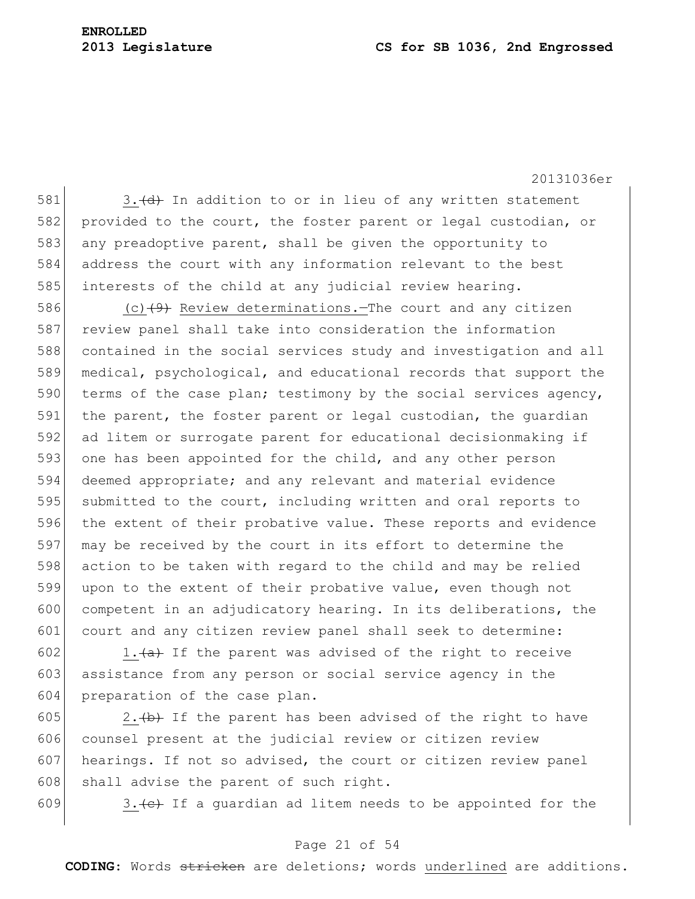# **ENROLLED**

#### **2013 Legislature CS for SB 1036, 2nd Engrossed**

20131036er

 $581$  3. (d) In addition to or in lieu of any written statement 582 provided to the court, the foster parent or legal custodian, or 583 any preadoptive parent, shall be given the opportunity to 584 address the court with any information relevant to the best 585 interests of the child at any judicial review hearing.

586  $(c)$  (c)  $(9)$  Review determinations. The court and any citizen 587 review panel shall take into consideration the information 588 contained in the social services study and investigation and all 589 medical, psychological, and educational records that support the 590 terms of the case plan; testimony by the social services agency, 591 the parent, the foster parent or legal custodian, the quardian 592 ad litem or surrogate parent for educational decisionmaking if 593 one has been appointed for the child, and any other person 594 deemed appropriate; and any relevant and material evidence 595 submitted to the court, including written and oral reports to 596 the extent of their probative value. These reports and evidence 597 may be received by the court in its effort to determine the 598 action to be taken with regard to the child and may be relied 599 upon to the extent of their probative value, even though not 600 competent in an adjudicatory hearing. In its deliberations, the 601 court and any citizen review panel shall seek to determine:

602 1. $\leftarrow$  1. If the parent was advised of the right to receive 603 assistance from any person or social service agency in the 604 preparation of the case plan.

605 2.  $\leftrightarrow$  If the parent has been advised of the right to have 606 counsel present at the judicial review or citizen review 607 hearings. If not so advised, the court or citizen review panel 608 shall advise the parent of such right.

609 3.  $\leftarrow$  If a guardian ad litem needs to be appointed for the

### Page 21 of 54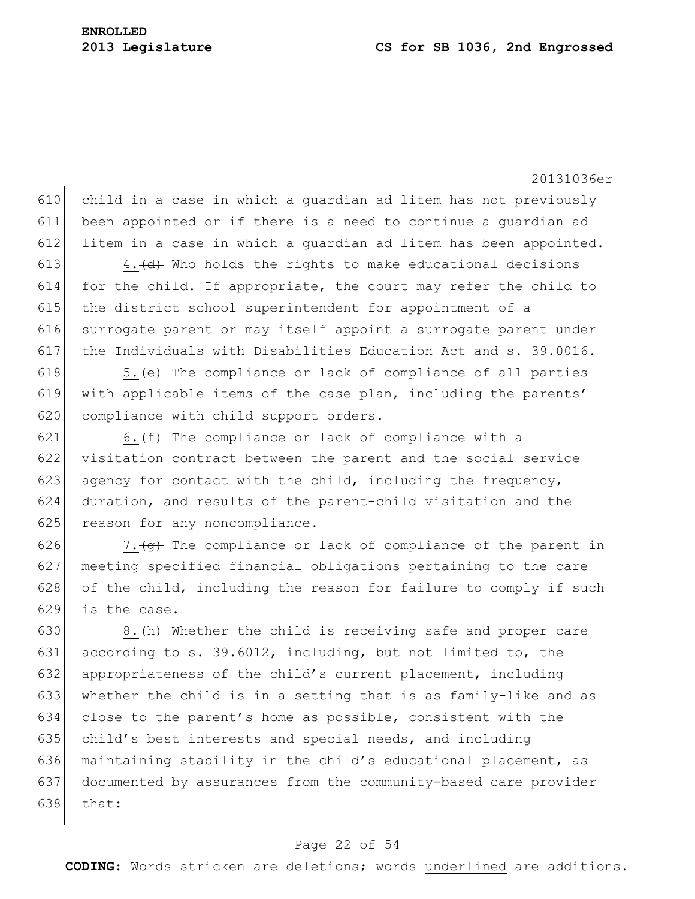610 child in a case in which a guardian ad litem has not previously 611 been appointed or if there is a need to continue a guardian ad 612 litem in a case in which a quardian ad litem has been appointed.

613  $\vert$  4. (d) Who holds the rights to make educational decisions 614 for the child. If appropriate, the court may refer the child to 615 the district school superintendent for appointment of a 616 surrogate parent or may itself appoint a surrogate parent under 617 the Individuals with Disabilities Education Act and s. 39.0016.

 $618$  5. (e) The compliance or lack of compliance of all parties 619 with applicable items of the case plan, including the parents' 620 compliance with child support orders.

621 6.  $(f)$  The compliance or lack of compliance with a 622 visitation contract between the parent and the social service 623 agency for contact with the child, including the frequency, 624 duration, and results of the parent-child visitation and the 625 reason for any noncompliance.

626 7.  $\left( \theta \right)$  The compliance or lack of compliance of the parent in 627 meeting specified financial obligations pertaining to the care 628 of the child, including the reason for failure to comply if such 629 is the case.

630 8. $\downarrow$ h) Whether the child is receiving safe and proper care according to s. 39.6012, including, but not limited to, the 632 appropriateness of the child's current placement, including whether the child is in a setting that is as family-like and as close to the parent's home as possible, consistent with the child's best interests and special needs, and including maintaining stability in the child's educational placement, as documented by assurances from the community-based care provider 638 that:

#### Page 22 of 54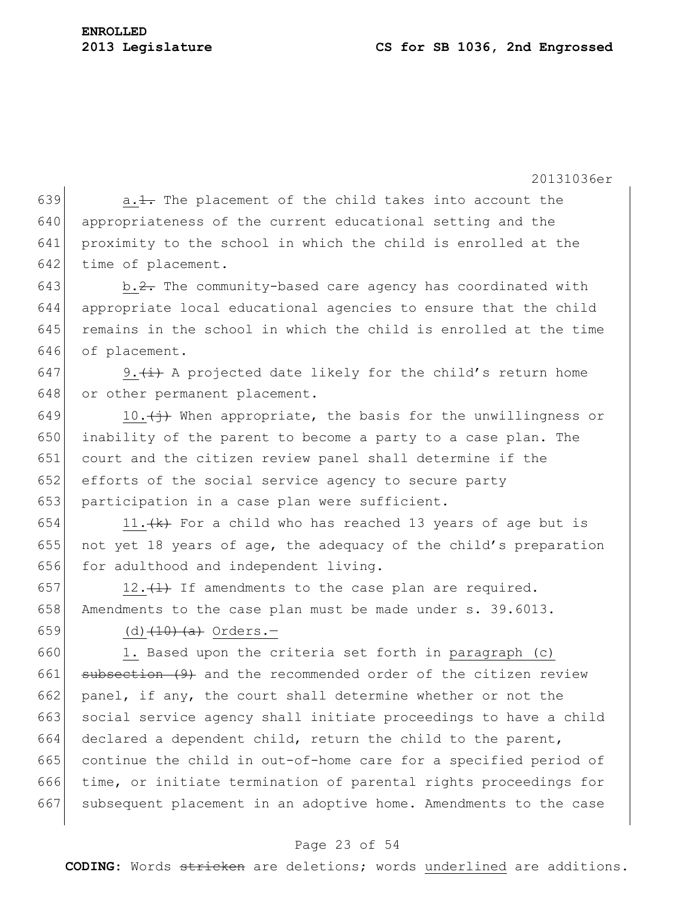$\vert$  a.<del>1.</del> The placement of the child takes into account the appropriateness of the current educational setting and the proximity to the school in which the child is enrolled at the 642 time of placement.

643 b.2. The community-based care agency has coordinated with 644 appropriate local educational agencies to ensure that the child 645 remains in the school in which the child is enrolled at the time 646 of placement.

647 9.  $\leftrightarrow$  A projected date likely for the child's return home 648 or other permanent placement.

649 10. $\leftrightarrow$  When appropriate, the basis for the unwillingness or 650 inability of the parent to become a party to a case plan. The 651 court and the citizen review panel shall determine if the 652 efforts of the social service agency to secure party 653 participation in a case plan were sufficient.

654 11.  $(k)$  For a child who has reached 13 years of age but is 655 not yet 18 years of age, the adequacy of the child's preparation 656 for adulthood and independent living.

657 12.  $(1)$  If amendments to the case plan are required. 658 Amendments to the case plan must be made under s. 39.6013.

659 (d)  $(10)$   $(10)$   $(20)$  Orders.

660 1. Based upon the criteria set forth in paragraph (c) 661 subsection  $(9)$  and the recommended order of the citizen review 662 panel, if any, the court shall determine whether or not the 663 social service agency shall initiate proceedings to have a child 664 declared a dependent child, return the child to the parent, 665 continue the child in out-of-home care for a specified period of 666 time, or initiate termination of parental rights proceedings for 667 subsequent placement in an adoptive home. Amendments to the case

#### Page 23 of 54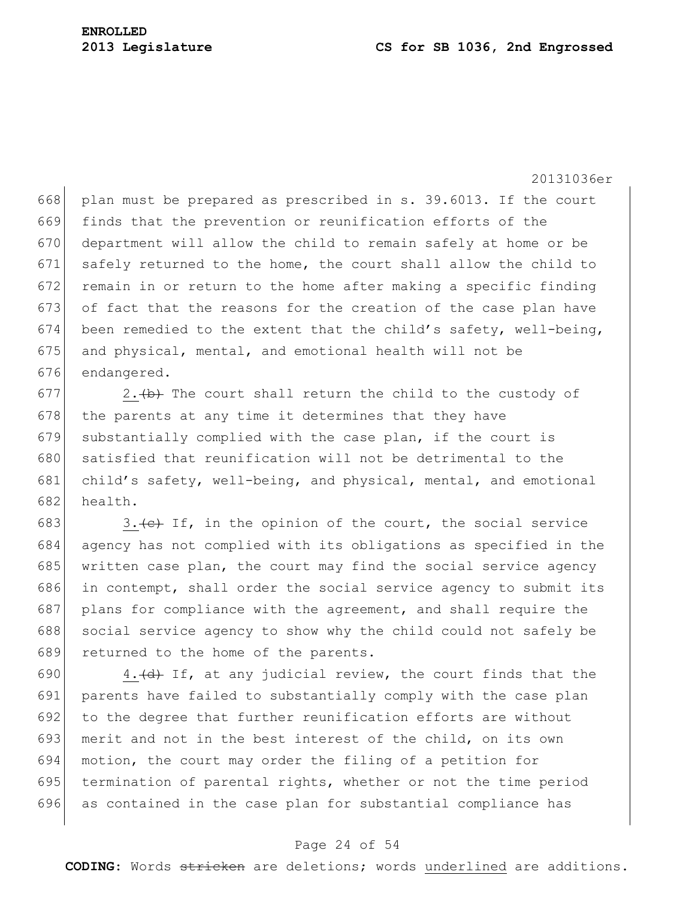#### **2013 Legislature CS for SB 1036, 2nd Engrossed**

20131036er

668 plan must be prepared as prescribed in s. 39.6013. If the court 669 finds that the prevention or reunification efforts of the 670 department will allow the child to remain safely at home or be 671 safely returned to the home, the court shall allow the child to 672 remain in or return to the home after making a specific finding 673 of fact that the reasons for the creation of the case plan have 674 been remedied to the extent that the child's safety, well-being, 675 and physical, mental, and emotional health will not be 676 endangered.

677 2.  $(b)$  The court shall return the child to the custody of 678 the parents at any time it determines that they have 679 substantially complied with the case plan, if the court is 680 satisfied that reunification will not be detrimental to the 681 child's safety, well-being, and physical, mental, and emotional 682 health.

683 3.  $\leftarrow$  If, in the opinion of the court, the social service 684 agency has not complied with its obligations as specified in the 685 written case plan, the court may find the social service agency 686 in contempt, shall order the social service agency to submit its 687 plans for compliance with the agreement, and shall require the 688 social service agency to show why the child could not safely be 689 returned to the home of the parents.

690 4.  $\left(\frac{d}{dt}\right)$  If, at any judicial review, the court finds that the parents have failed to substantially comply with the case plan 692 to the degree that further reunification efforts are without merit and not in the best interest of the child, on its own motion, the court may order the filing of a petition for termination of parental rights, whether or not the time period as contained in the case plan for substantial compliance has

#### Page 24 of 54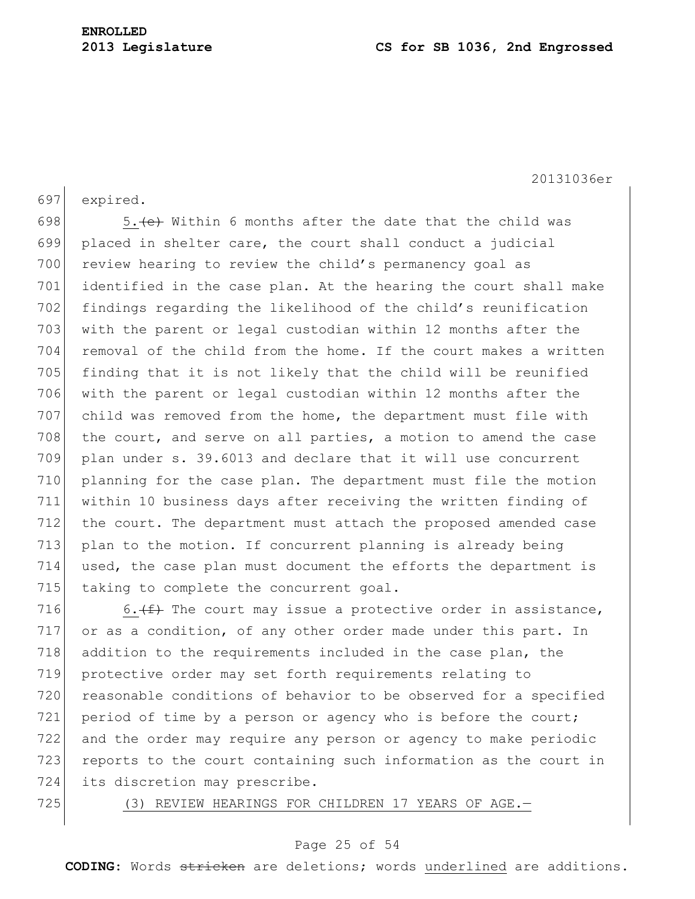697 expired.

 $\vert$  5.  $\left\{ \left\{ \epsilon\right\} \right\}$  Within 6 months after the date that the child was placed in shelter care, the court shall conduct a judicial 700 review hearing to review the child's permanency goal as identified in the case plan. At the hearing the court shall make findings regarding the likelihood of the child's reunification with the parent or legal custodian within 12 months after the removal of the child from the home. If the court makes a written finding that it is not likely that the child will be reunified with the parent or legal custodian within 12 months after the child was removed from the home, the department must file with 708 the court, and serve on all parties, a motion to amend the case plan under s. 39.6013 and declare that it will use concurrent planning for the case plan. The department must file the motion within 10 business days after receiving the written finding of the court. The department must attach the proposed amended case 713 plan to the motion. If concurrent planning is already being used, the case plan must document the efforts the department is 715 taking to complete the concurrent goal.

716 6.  $(f)$  The court may issue a protective order in assistance, 717 or as a condition, of any other order made under this part. In 718 addition to the requirements included in the case plan, the 719 protective order may set forth requirements relating to 720 reasonable conditions of behavior to be observed for a specified 721 period of time by a person or agency who is before the court; 722 and the order may require any person or agency to make periodic 723 reports to the court containing such information as the court in 724 its discretion may prescribe.

725 (3) REVIEW HEARINGS FOR CHILDREN 17 YEARS OF AGE.—

#### Page 25 of 54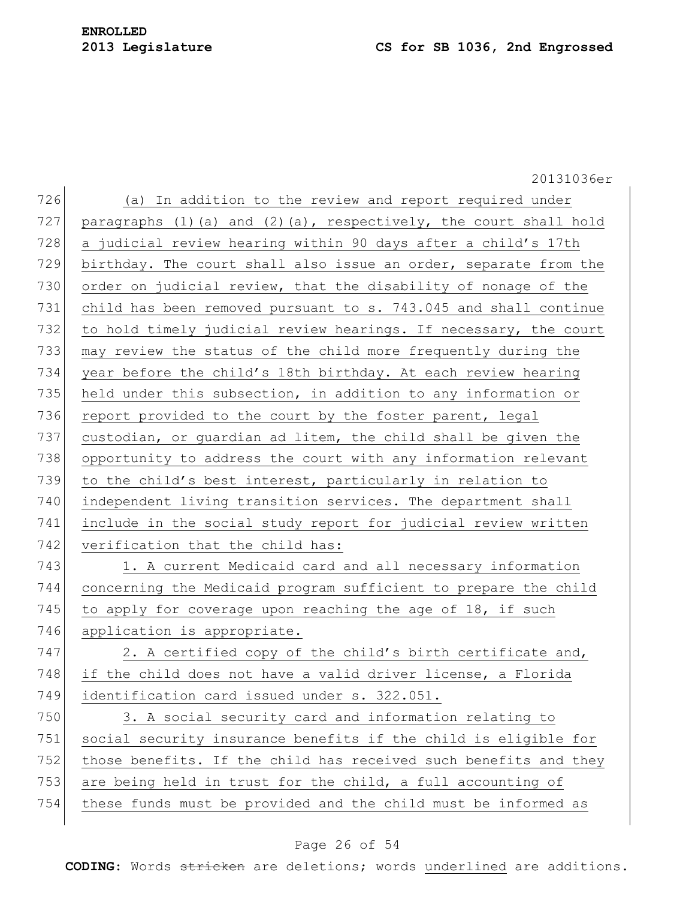20131036er 726 (a) In addition to the review and report required under 727 paragraphs (1)(a) and (2)(a), respectively, the court shall hold 728 a judicial review hearing within 90 days after a child's 17th 729 birthday. The court shall also issue an order, separate from the 730 order on judicial review, that the disability of nonage of the 731 child has been removed pursuant to s. 743.045 and shall continue 732 to hold timely judicial review hearings. If necessary, the court 733 may review the status of the child more frequently during the 734 year before the child's 18th birthday. At each review hearing 735 held under this subsection, in addition to any information or 736 report provided to the court by the foster parent, legal 737 custodian, or guardian ad litem, the child shall be given the 738 opportunity to address the court with any information relevant 739 to the child's best interest, particularly in relation to 740 independent living transition services. The department shall 741 include in the social study report for judicial review written 742 verification that the child has: 743 1. A current Medicaid card and all necessary information 744 concerning the Medicaid program sufficient to prepare the child 745 to apply for coverage upon reaching the age of 18, if such 746 application is appropriate. 747 2. A certified copy of the child's birth certificate and, 748 if the child does not have a valid driver license, a Florida 749 identification card issued under s. 322.051. 750 3. A social security card and information relating to 751 social security insurance benefits if the child is eligible for 752 those benefits. If the child has received such benefits and they 753 are being held in trust for the child, a full accounting of 754 these funds must be provided and the child must be informed as

#### Page 26 of 54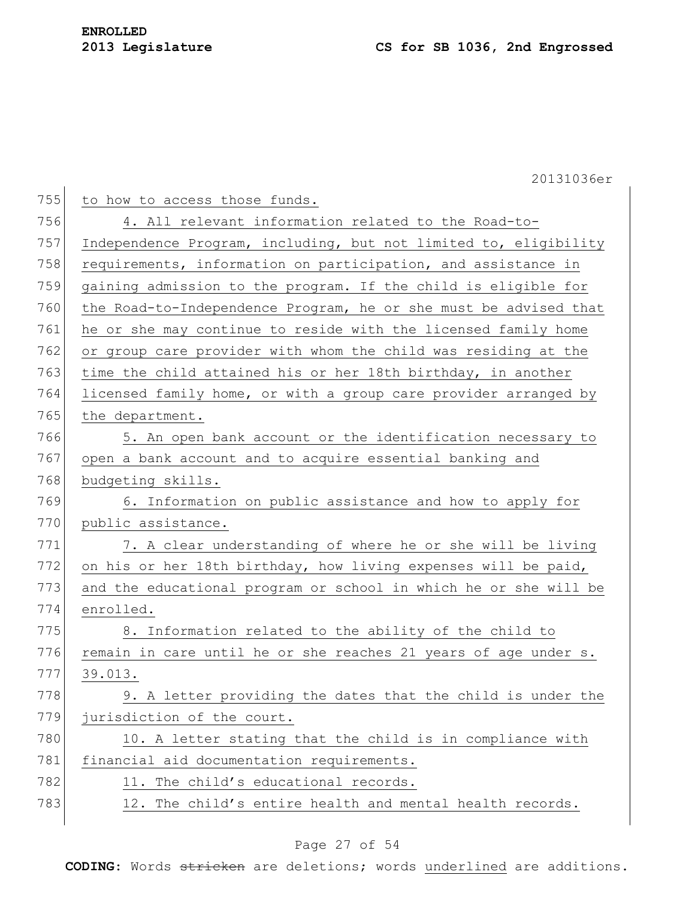|     | 20131036er                                                       |
|-----|------------------------------------------------------------------|
| 755 | to how to access those funds.                                    |
| 756 | 4. All relevant information related to the Road-to-              |
| 757 | Independence Program, including, but not limited to, eligibility |
| 758 | requirements, information on participation, and assistance in    |
| 759 | gaining admission to the program. If the child is eligible for   |
| 760 | the Road-to-Independence Program, he or she must be advised that |
| 761 | he or she may continue to reside with the licensed family home   |
| 762 | or group care provider with whom the child was residing at the   |
| 763 | time the child attained his or her 18th birthday, in another     |
| 764 | licensed family home, or with a group care provider arranged by  |
| 765 | the department.                                                  |
| 766 | 5. An open bank account or the identification necessary to       |
| 767 | open a bank account and to acquire essential banking and         |
| 768 | budgeting skills.                                                |
| 769 | 6. Information on public assistance and how to apply for         |
| 770 | public assistance.                                               |
| 771 | 7. A clear understanding of where he or she will be living       |
| 772 | on his or her 18th birthday, how living expenses will be paid,   |
| 773 | and the educational program or school in which he or she will be |
| 774 | enrolled.                                                        |
| 775 | 8. Information related to the ability of the child to            |
| 776 | remain in care until he or she reaches 21 years of age under s.  |
| 777 | 39.013.                                                          |
| 778 | 9. A letter providing the dates that the child is under the      |
| 779 | jurisdiction of the court.                                       |
| 780 | 10. A letter stating that the child is in compliance with        |
| 781 | financial aid documentation requirements.                        |
| 782 | 11. The child's educational records.                             |
| 783 | 12. The child's entire health and mental health records.         |
|     |                                                                  |

# Page 27 of 54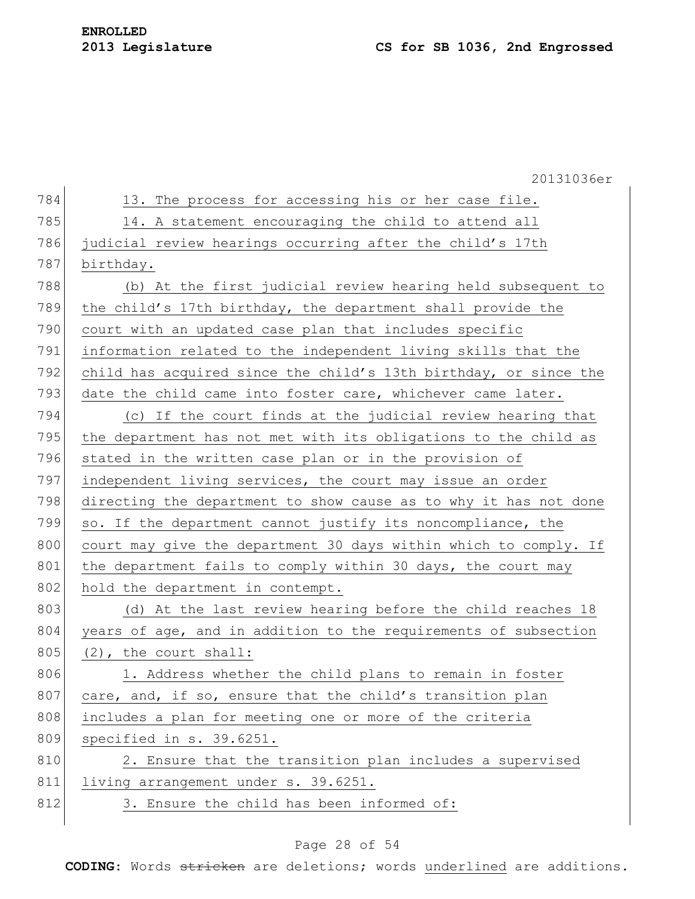20131036er 784 13. The process for accessing his or her case file. 785 14. A statement encouraging the child to attend all 786 judicial review hearings occurring after the child's 17th 787 birthday. 788 (b) At the first judicial review hearing held subsequent to 789 the child's 17th birthday, the department shall provide the 790 court with an updated case plan that includes specific 791 information related to the independent living skills that the 792 child has acquired since the child's 13th birthday, or since the 793 date the child came into foster care, whichever came later. 794 (c) If the court finds at the judicial review hearing that 795 the department has not met with its obligations to the child as 796 stated in the written case plan or in the provision of 797 independent living services, the court may issue an order 798 directing the department to show cause as to why it has not done 799 so. If the department cannot justify its noncompliance, the 800 court may give the department 30 days within which to comply. If 801 the department fails to comply within 30 days, the court may 802 hold the department in contempt. 803 (d) At the last review hearing before the child reaches 18 804 years of age, and in addition to the requirements of subsection  $805$  (2), the court shall: 806 1. Address whether the child plans to remain in foster 807 care, and, if so, ensure that the child's transition plan 808 includes a plan for meeting one or more of the criteria 809 specified in s. 39.6251. 810 2. Ensure that the transition plan includes a supervised 811 living arrangement under s. 39.6251. 812 3. Ensure the child has been informed of:

#### Page 28 of 54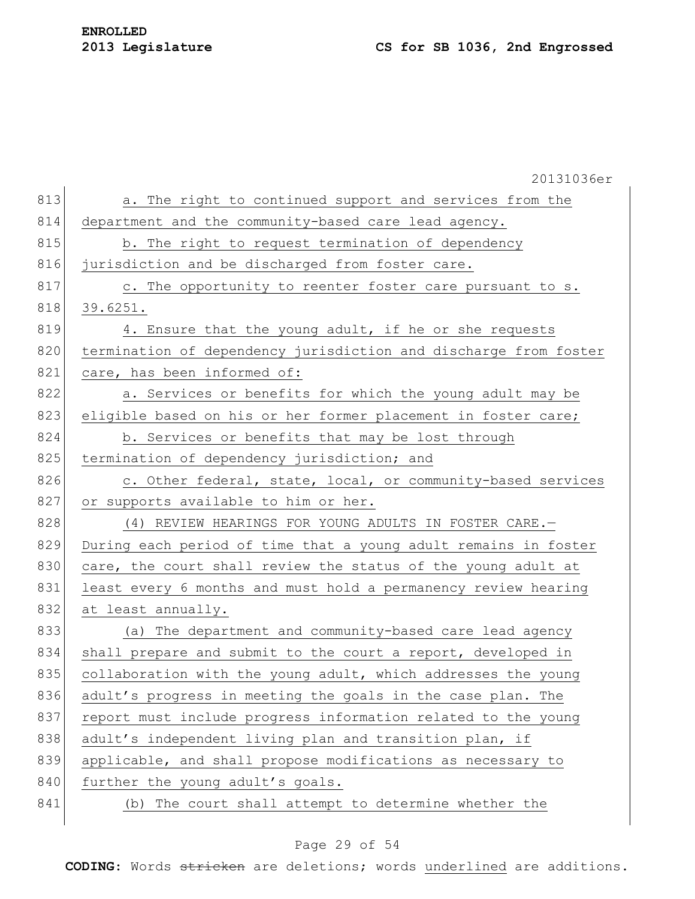|     | 20131036er                                                       |
|-----|------------------------------------------------------------------|
| 813 | a. The right to continued support and services from the          |
| 814 | department and the community-based care lead agency.             |
| 815 | b. The right to request termination of dependency                |
| 816 | jurisdiction and be discharged from foster care.                 |
| 817 | c. The opportunity to reenter foster care pursuant to s.         |
| 818 | 39.6251.                                                         |
| 819 | 4. Ensure that the young adult, if he or she requests            |
| 820 | termination of dependency jurisdiction and discharge from foster |
| 821 | care, has been informed of:                                      |
| 822 | a. Services or benefits for which the young adult may be         |
| 823 | eligible based on his or her former placement in foster care;    |
| 824 | b. Services or benefits that may be lost through                 |
| 825 | termination of dependency jurisdiction; and                      |
| 826 | c. Other federal, state, local, or community-based services      |
| 827 | or supports available to him or her.                             |
| 828 | (4) REVIEW HEARINGS FOR YOUNG ADULTS IN FOSTER CARE.-            |
| 829 | During each period of time that a young adult remains in foster  |
| 830 | care, the court shall review the status of the young adult at    |
| 831 | least every 6 months and must hold a permanency review hearing   |
| 832 | at least annually.                                               |
| 833 | (a) The department and community-based care lead agency          |
| 834 | shall prepare and submit to the court a report, developed in     |
| 835 | collaboration with the young adult, which addresses the young    |
| 836 | adult's progress in meeting the goals in the case plan. The      |
| 837 | report must include progress information related to the young    |
| 838 | adult's independent living plan and transition plan, if          |
| 839 | applicable, and shall propose modifications as necessary to      |
| 840 | further the young adult's goals.                                 |
| 841 | (b) The court shall attempt to determine whether the             |
|     |                                                                  |

# Page 29 of 54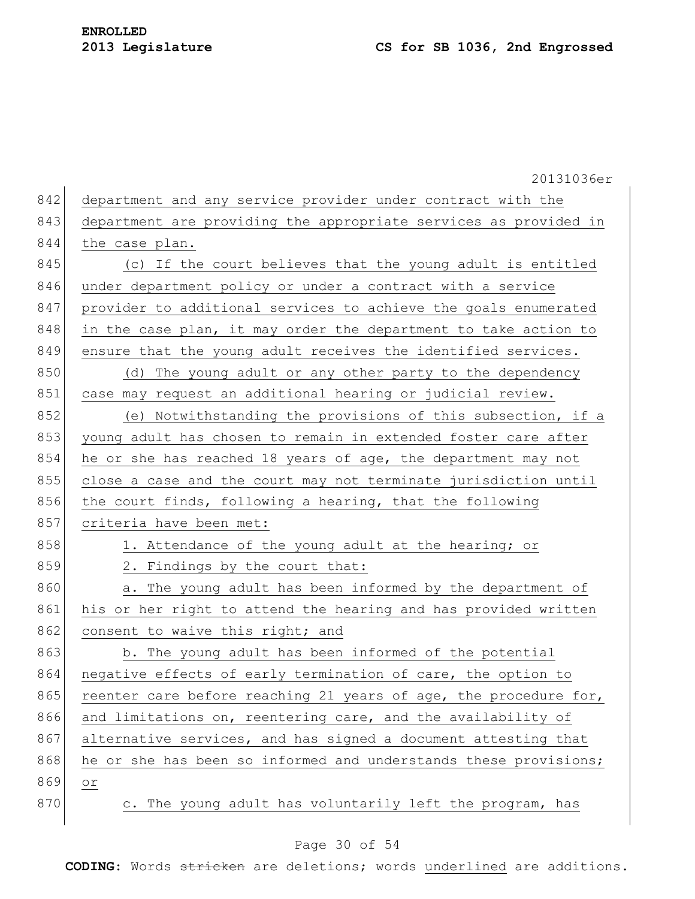|     | 20131036er                                                       |
|-----|------------------------------------------------------------------|
| 842 | department and any service provider under contract with the      |
| 843 | department are providing the appropriate services as provided in |
| 844 | the case plan.                                                   |
| 845 | (c) If the court believes that the young adult is entitled       |
| 846 | under department policy or under a contract with a service       |
| 847 | provider to additional services to achieve the goals enumerated  |
| 848 | in the case plan, it may order the department to take action to  |
| 849 | ensure that the young adult receives the identified services.    |
| 850 | (d) The young adult or any other party to the dependency         |
| 851 | case may request an additional hearing or judicial review.       |
| 852 | (e) Notwithstanding the provisions of this subsection, if a      |
| 853 | young adult has chosen to remain in extended foster care after   |
| 854 | he or she has reached 18 years of age, the department may not    |
| 855 | close a case and the court may not terminate jurisdiction until  |
| 856 | the court finds, following a hearing, that the following         |
| 857 | criteria have been met:                                          |
| 858 | 1. Attendance of the young adult at the hearing; or              |
| 859 | 2. Findings by the court that:                                   |
| 860 | a. The young adult has been informed by the department of        |
| 861 | his or her right to attend the hearing and has provided written  |
| 862 | consent to waive this right; and                                 |
| 863 | b. The young adult has been informed of the potential            |
| 864 | negative effects of early termination of care, the option to     |
| 865 | reenter care before reaching 21 years of age, the procedure for, |
| 866 | and limitations on, reentering care, and the availability of     |
| 867 | alternative services, and has signed a document attesting that   |
| 868 | he or she has been so informed and understands these provisions; |
| 869 | оr                                                               |
| 870 | c. The young adult has voluntarily left the program, has         |
|     |                                                                  |

# Page 30 of 54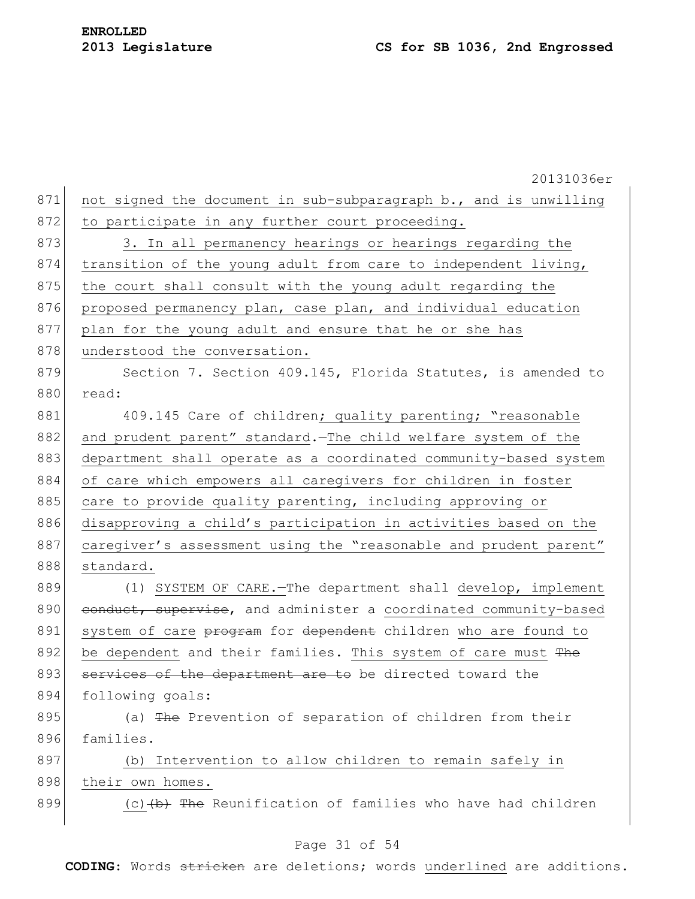|     | 20131036er                                                       |
|-----|------------------------------------------------------------------|
| 871 | not signed the document in sub-subparagraph b., and is unwilling |
| 872 | to participate in any further court proceeding.                  |
| 873 | 3. In all permanency hearings or hearings regarding the          |
| 874 | transition of the young adult from care to independent living,   |
| 875 | the court shall consult with the young adult regarding the       |
| 876 | proposed permanency plan, case plan, and individual education    |
| 877 | plan for the young adult and ensure that he or she has           |
| 878 | understood the conversation.                                     |
| 879 | Section 7. Section 409.145, Florida Statutes, is amended to      |
| 880 | read:                                                            |
| 881 | 409.145 Care of children; quality parenting; "reasonable         |
| 882 | and prudent parent" standard. The child welfare system of the    |
| 883 | department shall operate as a coordinated community-based system |
| 884 | of care which empowers all caregivers for children in foster     |
| 885 | care to provide quality parenting, including approving or        |
| 886 | disapproving a child's participation in activities based on the  |
| 887 | caregiver's assessment using the "reasonable and prudent parent" |
| 888 | standard.                                                        |
| 889 | (1) SYSTEM OF CARE. - The department shall develop, implement    |
| 890 | conduct, supervise, and administer a coordinated community-based |
| 891 | system of care program for dependent children who are found to   |
| 892 | be dependent and their families. This system of care must The    |
| 893 | services of the department are to be directed toward the         |
| 894 | following goals:                                                 |
| 895 | (a) The Prevention of separation of children from their          |
| 896 | families.                                                        |
| 897 | Intervention to allow children to remain safely in<br>(b)        |
| 898 | their own homes.                                                 |
| 899 | $(c)$ $(b)$ The Reunification of families who have had children  |
|     |                                                                  |

# Page 31 of 54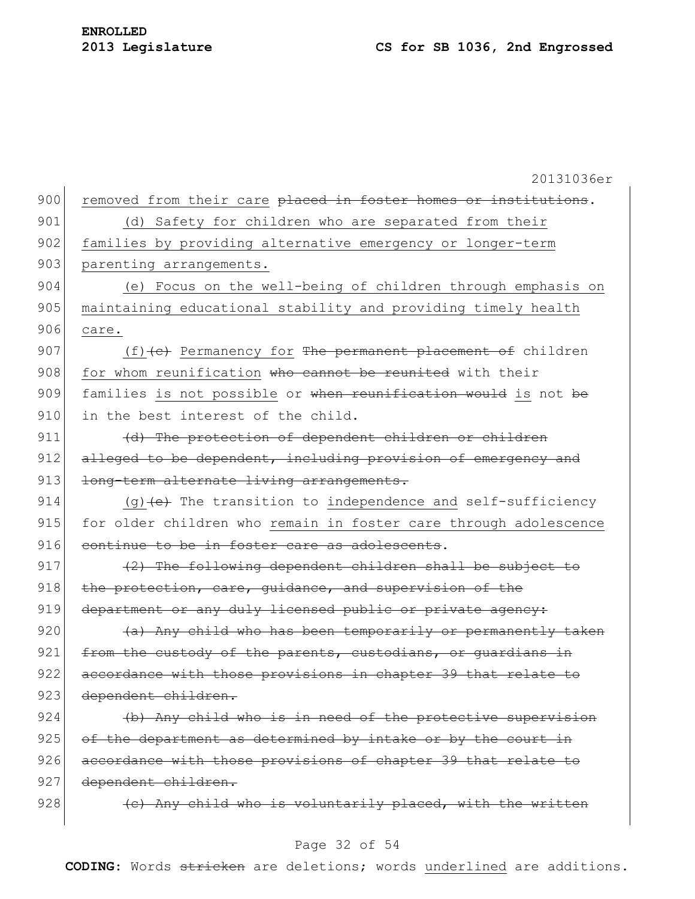|     | 20131036er                                                       |
|-----|------------------------------------------------------------------|
| 900 | removed from their care placed in foster homes or institutions.  |
| 901 | (d) Safety for children who are separated from their             |
| 902 | families by providing alternative emergency or longer-term       |
| 903 | parenting arrangements.                                          |
| 904 | (e) Focus on the well-being of children through emphasis on      |
| 905 | maintaining educational stability and providing timely health    |
| 906 | care.                                                            |
| 907 | $(f)$ (e) Permanency for The permanent placement of children     |
| 908 | for whom reunification who cannot be reunited with their         |
| 909 | families is not possible or when reunification would is not be   |
| 910 | in the best interest of the child.                               |
| 911 | (d) The protection of dependent children or children             |
| 912 | alleged to be dependent, including provision of emergency and    |
| 913 | long-term alternate living arrangements.                         |
| 914 | $(g)$ $(e)$ The transition to independence and self-sufficiency  |
| 915 | for older children who remain in foster care through adolescence |
| 916 | continue to be in foster care as adolescents.                    |
| 917 | (2) The following dependent children shall be subject to         |
| 918 | the protection, care, quidance, and supervision of the           |
| 919 | department or any duly licensed public or private agency:        |
| 920 | (a) Any child who has been temporarily or permanently taken      |
| 921 | from the custody of the parents, custodians, or quardians in     |
| 922 | accordance with those provisions in chapter 39 that relate to    |
| 923 | dependent children.                                              |
| 924 | (b) Any child who is in need of the protective supervision       |
| 925 | of the department as determined by intake or by the court in     |
| 926 | accordance with those provisions of chapter 39 that relate to    |
| 927 | dependent children.                                              |
| 928 | (c) Any child who is voluntarily placed, with the written        |
|     |                                                                  |

# Page 32 of 54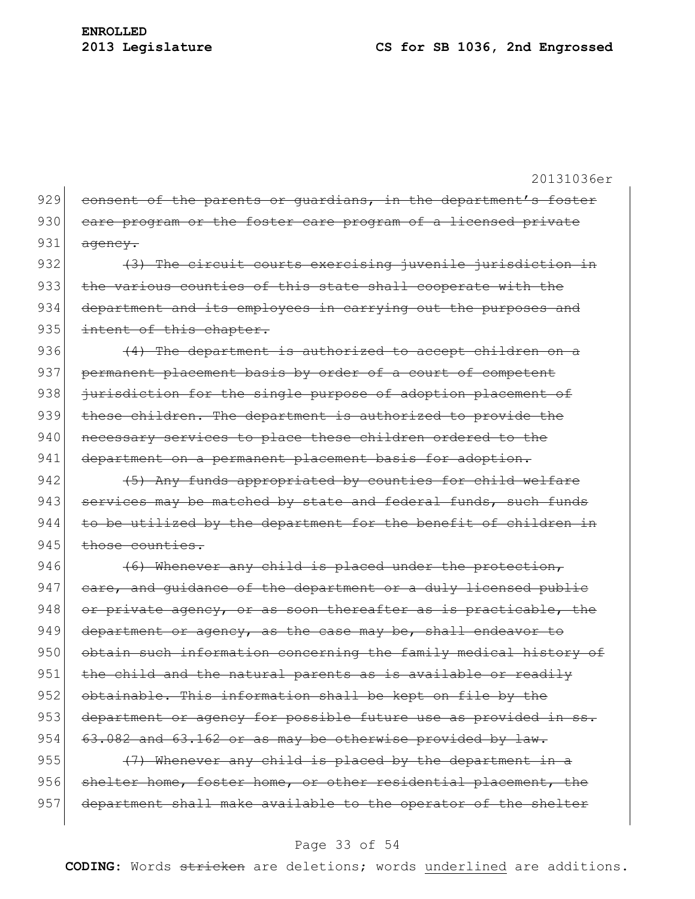| 929  | consent of the parents or quardians, in the department's foster |
|------|-----------------------------------------------------------------|
| 930  | eare program or the foster care program of a licensed private   |
| 931  | ageney.                                                         |
| 932  | (3) The circuit courts exercising juvenile jurisdiction in      |
| 9331 | the various counties of this state shall cooperate with the     |
| 934  | department and its employees in carrying out the purposes and   |
| 935  | intent of this chapter.                                         |

936  $(4)$  The department is authorized to accept children on a 937 permanent placement basis by order of a court of competent 938 jurisdiction for the single purpose of adoption placement of 939 these children. The department is authorized to provide the 940 necessary services to place these children ordered to the 941 department on a permanent placement basis for adoption.

942  $(5)$  Any funds appropriated by counties for child welfare 943 services may be matched by state and federal funds, such funds 944 to be utilized by the department for the benefit of children in 945 those counties.

 $946$  (6) Whenever any child is placed under the protection,  $947$  care, and guidance of the department or a duly licensed public 948 or private agency, or as soon thereafter as is practicable, the 949 department or agency, as the case may be, shall endeavor to 950 obtain such information concerning the family medical history of 951 the child and the natural parents as is available or readily 952 obtainable. This information shall be kept on file by the 953 department or agency for possible future use as provided in ss. 954  $\,$  63.082 and 63.162 or as may be otherwise provided by law. 955  $(7)$  Whenever any child is placed by the department in a 956 shelter home, foster home, or other residential placement, the

957 department shall make available to the operator of the shelter

#### Page 33 of 54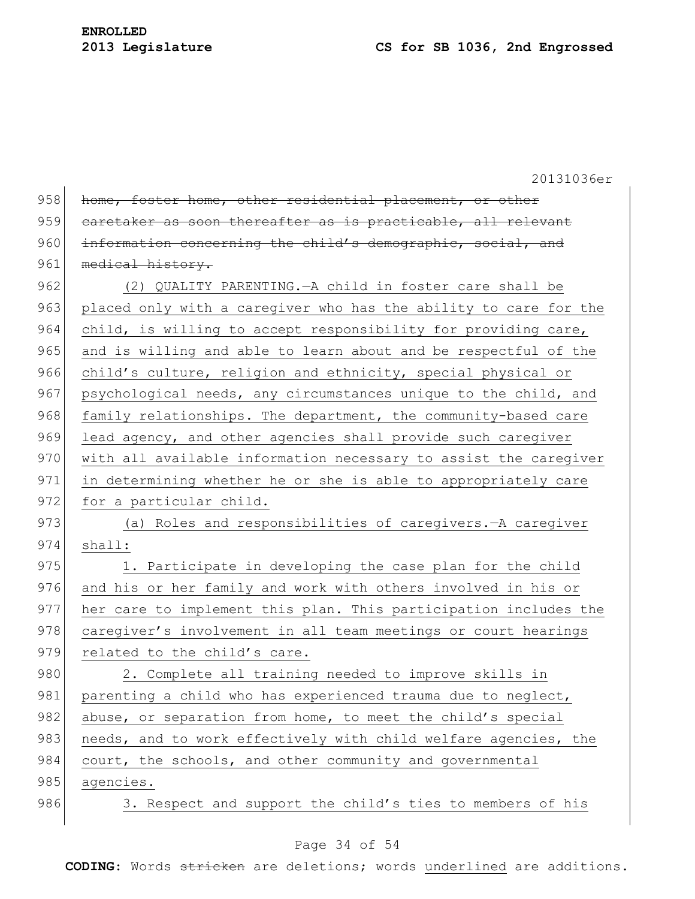972

|     | 20131036er                                                       |
|-----|------------------------------------------------------------------|
| 958 | home, foster home, other residential placement, or other         |
| 959 | earetaker as soon thereafter as is practicable, all relevant     |
| 960 | information concerning the child's demographic, social, and      |
| 961 | medical history.                                                 |
| 962 | (2) QUALITY PARENTING. - A child in foster care shall be         |
| 963 | placed only with a caregiver who has the ability to care for the |
| 964 | child, is willing to accept responsibility for providing care,   |
| 965 | and is willing and able to learn about and be respectful of the  |
| 966 | child's culture, religion and ethnicity, special physical or     |
| 967 | psychological needs, any circumstances unique to the child, and  |
| 968 | family relationships. The department, the community-based care   |
| 969 | lead agency, and other agencies shall provide such caregiver     |
| 970 | with all available information necessary to assist the caregiver |
| 971 | in determining whether he or she is able to appropriately care   |
| 972 | for a particular child.                                          |
| 973 | (a) Roles and responsibilities of caregivers. - A caregiver      |
| 974 | shall:                                                           |
| 975 | 1. Participate in developing the case plan for the child         |
| 976 | and his or her family and work with others involved in his or    |
| 977 | her care to implement this plan. This participation includes the |
| 978 | caregiver's involvement in all team meetings or court hearings   |
| 979 | related to the child's care.                                     |
| 980 | 2. Complete all training needed to improve skills in             |
| 981 | parenting a child who has experienced trauma due to neglect,     |
| 982 | abuse, or separation from home, to meet the child's special      |
| 983 | needs, and to work effectively with child welfare agencies, the  |
| 984 | court, the schools, and other community and governmental         |
| 985 | agencies.                                                        |
| 986 | 3. Respect and support the child's ties to members of his        |

### Page 34 of 54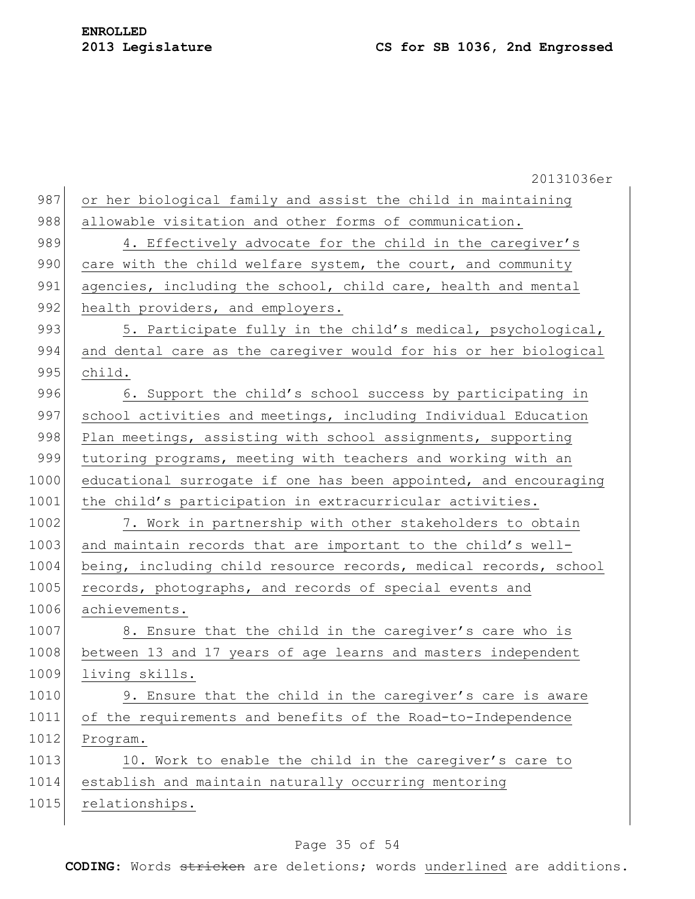|      | 20131036er                                                       |
|------|------------------------------------------------------------------|
| 987  | or her biological family and assist the child in maintaining     |
| 988  | allowable visitation and other forms of communication.           |
| 989  | 4. Effectively advocate for the child in the caregiver's         |
| 990  | care with the child welfare system, the court, and community     |
| 991  | agencies, including the school, child care, health and mental    |
| 992  | health providers, and employers.                                 |
| 993  | 5. Participate fully in the child's medical, psychological,      |
| 994  | and dental care as the caregiver would for his or her biological |
| 995  | child.                                                           |
| 996  | 6. Support the child's school success by participating in        |
| 997  | school activities and meetings, including Individual Education   |
| 998  | Plan meetings, assisting with school assignments, supporting     |
| 999  | tutoring programs, meeting with teachers and working with an     |
| 1000 | educational surrogate if one has been appointed, and encouraging |
| 1001 | the child's participation in extracurricular activities.         |
| 1002 | 7. Work in partnership with other stakeholders to obtain         |
| 1003 | and maintain records that are important to the child's well-     |
| 1004 | being, including child resource records, medical records, school |
| 1005 | records, photographs, and records of special events and          |
| 1006 | achievements.                                                    |
| 1007 | 8. Ensure that the child in the caregiver's care who is          |
| 1008 | between 13 and 17 years of age learns and masters independent    |
| 1009 | living skills.                                                   |
| 1010 | 9. Ensure that the child in the caregiver's care is aware        |
| 1011 | of the requirements and benefits of the Road-to-Independence     |
| 1012 | Program.                                                         |
| 1013 | 10. Work to enable the child in the caregiver's care to          |
| 1014 | establish and maintain naturally occurring mentoring             |
| 1015 | relationships.                                                   |
|      |                                                                  |

# Page 35 of 54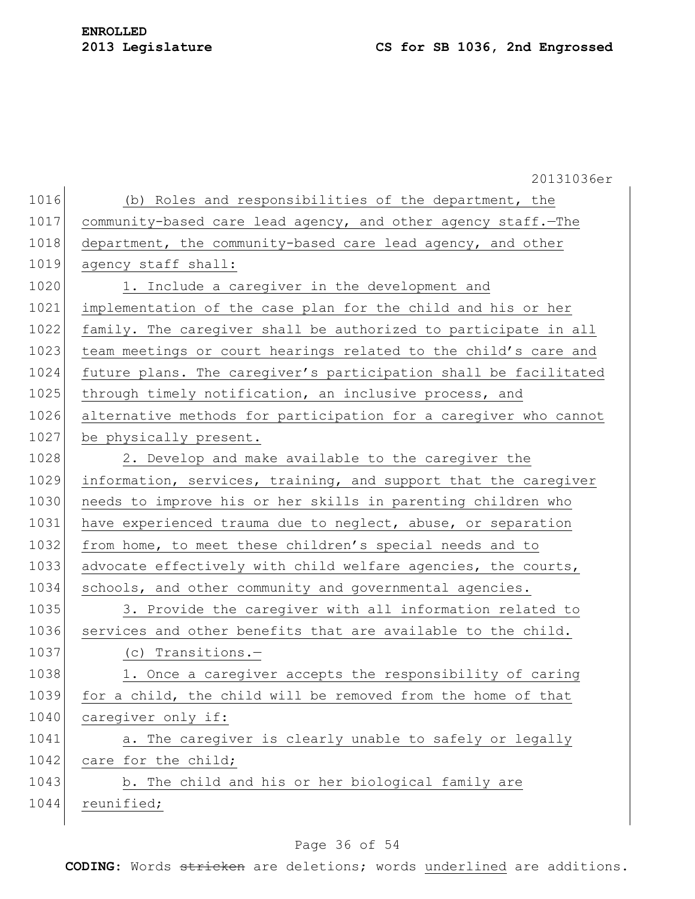# **ENROLLED**

## **2013 Legislature CS for SB 1036, 2nd Engrossed**

|      | 20131036er                                                       |
|------|------------------------------------------------------------------|
| 1016 | (b) Roles and responsibilities of the department, the            |
| 1017 | community-based care lead agency, and other agency staff.-The    |
| 1018 | department, the community-based care lead agency, and other      |
| 1019 | agency staff shall:                                              |
| 1020 | 1. Include a caregiver in the development and                    |
| 1021 | implementation of the case plan for the child and his or her     |
| 1022 | family. The caregiver shall be authorized to participate in all  |
| 1023 | team meetings or court hearings related to the child's care and  |
| 1024 | future plans. The caregiver's participation shall be facilitated |
| 1025 | through timely notification, an inclusive process, and           |
| 1026 | alternative methods for participation for a caregiver who cannot |
| 1027 | be physically present.                                           |
| 1028 | 2. Develop and make available to the caregiver the               |
| 1029 | information, services, training, and support that the caregiver  |
| 1030 | needs to improve his or her skills in parenting children who     |
| 1031 | have experienced trauma due to neglect, abuse, or separation     |
| 1032 | from home, to meet these children's special needs and to         |
| 1033 | advocate effectively with child welfare agencies, the courts,    |
| 1034 | schools, and other community and governmental agencies.          |
| 1035 | 3. Provide the caregiver with all information related to         |
| 1036 | services and other benefits that are available to the child.     |
| 1037 | (c) Transitions.-                                                |
| 1038 | 1. Once a caregiver accepts the responsibility of caring         |
| 1039 | for a child, the child will be removed from the home of that     |
| 1040 | caregiver only if:                                               |
| 1041 | a. The caregiver is clearly unable to safely or legally          |
| 1042 | care for the child;                                              |
| 1043 | b. The child and his or her biological family are                |
| 1044 | reunified;                                                       |
|      |                                                                  |

# Page 36 of 54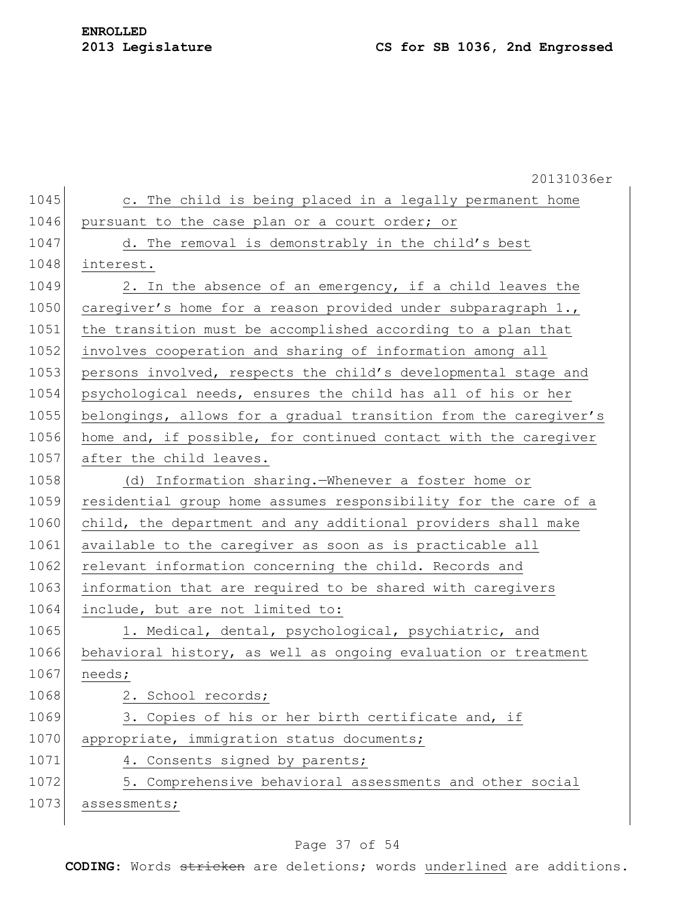# **ENROLLED**

|      | 20131036er                                                       |
|------|------------------------------------------------------------------|
| 1045 | c. The child is being placed in a legally permanent home         |
| 1046 | pursuant to the case plan or a court order; or                   |
| 1047 | d. The removal is demonstrably in the child's best               |
| 1048 | interest.                                                        |
| 1049 | 2. In the absence of an emergency, if a child leaves the         |
| 1050 | caregiver's home for a reason provided under subparagraph 1.,    |
| 1051 | the transition must be accomplished according to a plan that     |
| 1052 | involves cooperation and sharing of information among all        |
| 1053 | persons involved, respects the child's developmental stage and   |
| 1054 | psychological needs, ensures the child has all of his or her     |
| 1055 | belongings, allows for a gradual transition from the caregiver's |
| 1056 | home and, if possible, for continued contact with the caregiver  |
| 1057 | after the child leaves.                                          |
| 1058 | (d) Information sharing. Whenever a foster home or               |
| 1059 | residential group home assumes responsibility for the care of a  |
| 1060 | child, the department and any additional providers shall make    |
| 1061 | available to the caregiver as soon as is practicable all         |
| 1062 | relevant information concerning the child. Records and           |
| 1063 | information that are required to be shared with caregivers       |
| 1064 | include, but are not limited to:                                 |
| 1065 | 1. Medical, dental, psychological, psychiatric, and              |
| 1066 | behavioral history, as well as ongoing evaluation or treatment   |
| 1067 | needs;                                                           |
| 1068 | 2. School records;                                               |
| 1069 | 3. Copies of his or her birth certificate and, if                |
| 1070 | appropriate, immigration status documents;                       |
| 1071 | 4. Consents signed by parents;                                   |
| 1072 | 5. Comprehensive behavioral assessments and other social         |
| 1073 | assessments;                                                     |

# Page 37 of 54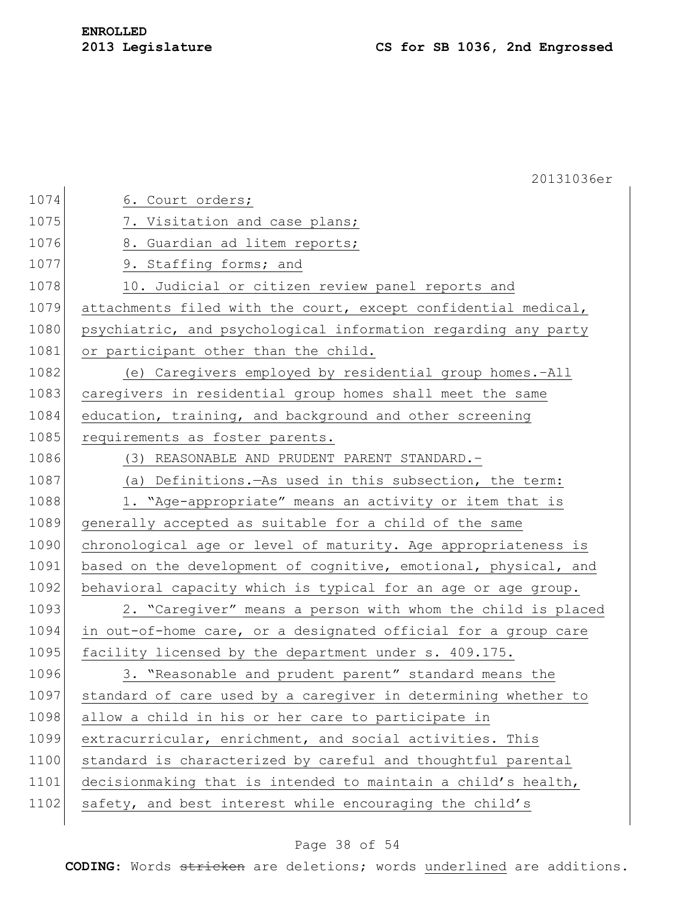|      | 20131036er                                                      |
|------|-----------------------------------------------------------------|
| 1074 | 6. Court orders;                                                |
| 1075 | 7. Visitation and case plans;                                   |
| 1076 | 8. Guardian ad litem reports;                                   |
| 1077 | 9. Staffing forms; and                                          |
| 1078 | 10. Judicial or citizen review panel reports and                |
| 1079 | attachments filed with the court, except confidential medical,  |
| 1080 | psychiatric, and psychological information regarding any party  |
| 1081 | or participant other than the child.                            |
| 1082 | (e) Caregivers employed by residential group homes.-All         |
| 1083 | caregivers in residential group homes shall meet the same       |
| 1084 | education, training, and background and other screening         |
| 1085 | requirements as foster parents.                                 |
| 1086 | (3) REASONABLE AND PRUDENT PARENT STANDARD.-                    |
| 1087 | (a) Definitions. As used in this subsection, the term:          |
| 1088 | 1. "Age-appropriate" means an activity or item that is          |
| 1089 | generally accepted as suitable for a child of the same          |
| 1090 | chronological age or level of maturity. Age appropriateness is  |
| 1091 | based on the development of cognitive, emotional, physical, and |
| 1092 | behavioral capacity which is typical for an age or age group.   |
| 1093 | 2. "Caregiver" means a person with whom the child is placed     |
| 1094 | in out-of-home care, or a designated official for a group care  |
| 1095 | facility licensed by the department under s. 409.175.           |
| 1096 | 3. "Reasonable and prudent parent" standard means the           |
| 1097 | standard of care used by a caregiver in determining whether to  |
| 1098 | allow a child in his or her care to participate in              |
| 1099 | extracurricular, enrichment, and social activities. This        |
| 1100 | standard is characterized by careful and thoughtful parental    |
| 1101 | decisionmaking that is intended to maintain a child's health,   |
| 1102 | safety, and best interest while encouraging the child's         |
|      |                                                                 |

# Page 38 of 54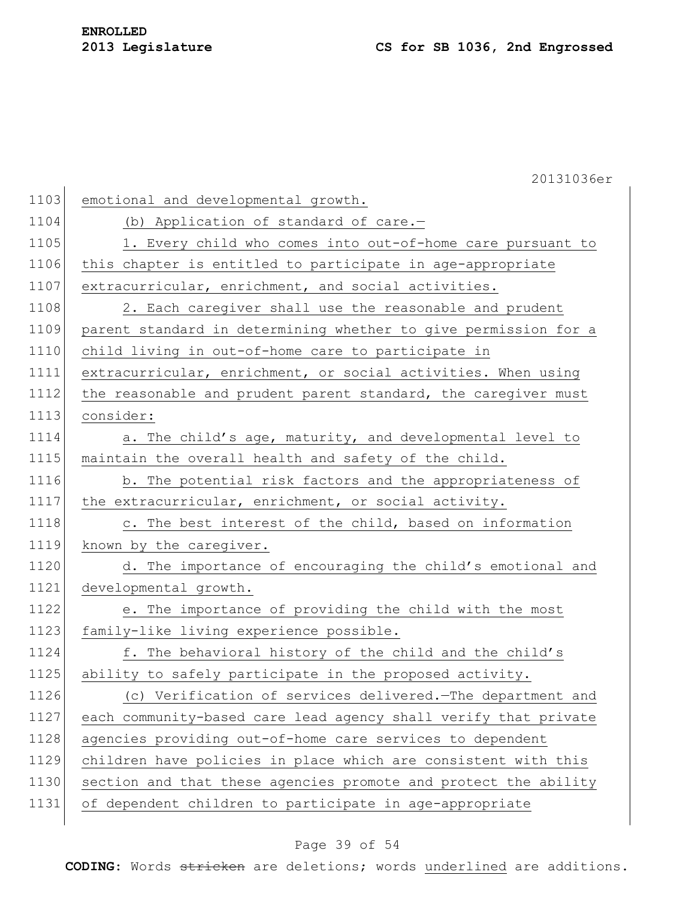20131036er 1103 emotional and developmental growth. 1104 (b) Application of standard of care.-1105 1. Every child who comes into out-of-home care pursuant to 1106 this chapter is entitled to participate in age-appropriate 1107 extracurricular, enrichment, and social activities. 1108 2. Each caregiver shall use the reasonable and prudent 1109 parent standard in determining whether to give permission for a 1110 child living in out-of-home care to participate in 1111 extracurricular, enrichment, or social activities. When using 1112 the reasonable and prudent parent standard, the caregiver must 1113 consider: 1114 a. The child's age, maturity, and developmental level to 1115 maintain the overall health and safety of the child. 1116 b. The potential risk factors and the appropriateness of 1117 the extracurricular, enrichment, or social activity. 1118 c. The best interest of the child, based on information 1119 known by the caregiver. 1120 d. The importance of encouraging the child's emotional and 1121 developmental growth. 1122 e. The importance of providing the child with the most 1123 family-like living experience possible. 1124 f. The behavioral history of the child and the child's 1125 ability to safely participate in the proposed activity. 1126 (c) Verification of services delivered.—The department and 1127 each community-based care lead agency shall verify that private 1128 agencies providing out-of-home care services to dependent 1129 children have policies in place which are consistent with this 1130 section and that these agencies promote and protect the ability 1131 of dependent children to participate in age-appropriate

### Page 39 of 54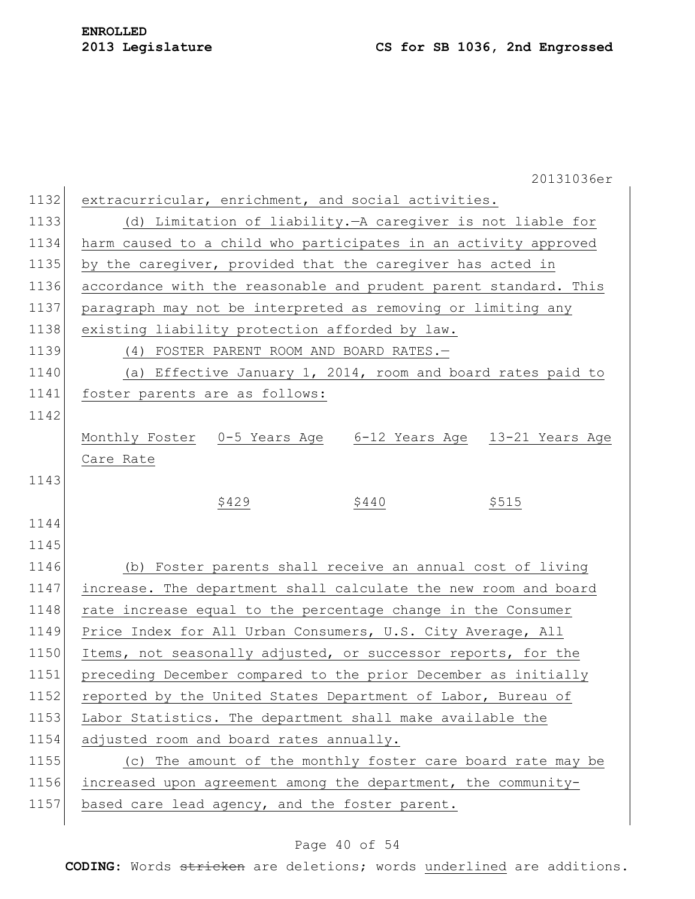|      | 20131036er                                                       |
|------|------------------------------------------------------------------|
| 1132 | extracurricular, enrichment, and social activities.              |
| 1133 | (d) Limitation of liability. - A caregiver is not liable for     |
| 1134 | harm caused to a child who participates in an activity approved  |
| 1135 | by the caregiver, provided that the caregiver has acted in       |
| 1136 | accordance with the reasonable and prudent parent standard. This |
| 1137 | paragraph may not be interpreted as removing or limiting any     |
| 1138 | existing liability protection afforded by law.                   |
| 1139 | (4) FOSTER PARENT ROOM AND BOARD RATES.-                         |
| 1140 | (a) Effective January 1, 2014, room and board rates paid to      |
| 1141 | foster parents are as follows:                                   |
| 1142 |                                                                  |
|      | Monthly Foster 0-5 Years Age 6-12 Years Age 13-21 Years Age      |
|      | Care Rate                                                        |
| 1143 |                                                                  |
|      | \$429<br>\$440<br>\$515                                          |
| 1144 |                                                                  |
| 1145 |                                                                  |
| 1146 | (b) Foster parents shall receive an annual cost of living        |
| 1147 | increase. The department shall calculate the new room and board  |
| 1148 | rate increase equal to the percentage change in the Consumer     |
| 1149 | Price Index for All Urban Consumers, U.S. City Average, All      |
| 1150 | Items, not seasonally adjusted, or successor reports, for the    |
| 1151 | preceding December compared to the prior December as initially   |
| 1152 | reported by the United States Department of Labor, Bureau of     |
| 1153 | Labor Statistics. The department shall make available the        |
| 1154 | adjusted room and board rates annually.                          |
| 1155 | (c) The amount of the monthly foster care board rate may be      |
| 1156 | increased upon agreement among the department, the community-    |
| 1157 | based care lead agency, and the foster parent.                   |
|      |                                                                  |

# Page 40 of 54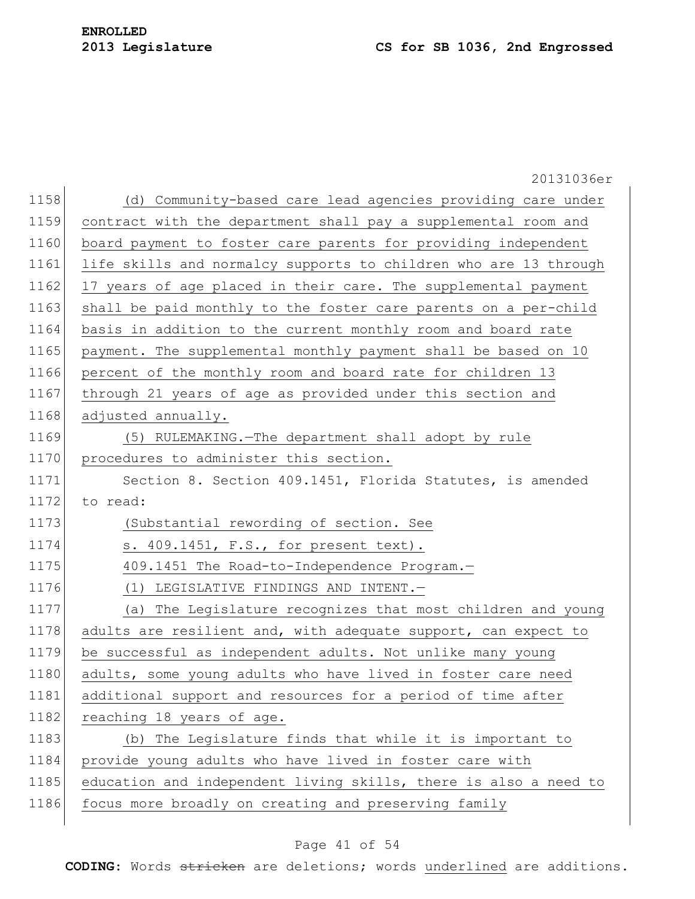|      | 20131036er                                                       |
|------|------------------------------------------------------------------|
| 1158 | (d) Community-based care lead agencies providing care under      |
| 1159 | contract with the department shall pay a supplemental room and   |
| 1160 | board payment to foster care parents for providing independent   |
| 1161 | life skills and normalcy supports to children who are 13 through |
| 1162 | 17 years of age placed in their care. The supplemental payment   |
|      | shall be paid monthly to the foster care parents on a per-child  |
|      | basis in addition to the current monthly room and board rate     |
|      | payment. The supplemental monthly payment shall be based on 10   |
|      | percent of the monthly room and board rate for children 13       |
|      | through 21 years of age as provided under this section and       |
|      | adjusted annually.                                               |
|      | (5) RULEMAKING. - The department shall adopt by rule             |
|      | procedures to administer this section.                           |
|      | Section 8. Section 409.1451, Florida Statutes, is amended        |
|      | to read:                                                         |
|      | (Substantial rewording of section. See                           |
|      | s. 409.1451, F.S., for present text).                            |
|      | 409.1451 The Road-to-Independence Program.-                      |
|      | (1) LEGISLATIVE FINDINGS AND INTENT.-                            |
|      | (a) The Legislature recognizes that most children and young      |
|      | adults are resilient and, with adequate support, can expect to   |
|      | be successful as independent adults. Not unlike many young       |
|      | adults, some young adults who have lived in foster care need     |
|      | additional support and resources for a period of time after      |
|      | reaching 18 years of age.                                        |
|      | (b) The Legislature finds that while it is important to          |
|      | provide young adults who have lived in foster care with          |
|      | education and independent living skills, there is also a need to |
|      | focus more broadly on creating and preserving family             |
|      |                                                                  |

# Page 41 of 54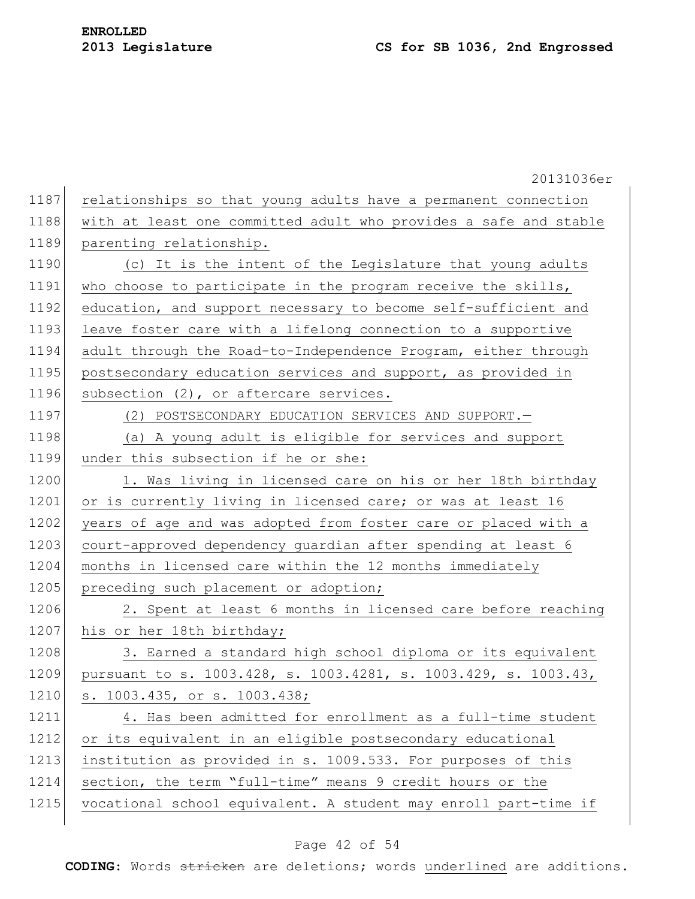|      | 20131036er                                                       |
|------|------------------------------------------------------------------|
| 1187 | relationships so that young adults have a permanent connection   |
| 1188 | with at least one committed adult who provides a safe and stable |
| 1189 | parenting relationship.                                          |
| 1190 | (c) It is the intent of the Legislature that young adults        |
| 1191 | who choose to participate in the program receive the skills,     |
| 1192 | education, and support necessary to become self-sufficient and   |
| 1193 | leave foster care with a lifelong connection to a supportive     |
| 1194 | adult through the Road-to-Independence Program, either through   |
| 1195 | postsecondary education services and support, as provided in     |
| 1196 | subsection (2), or aftercare services.                           |
| 1197 | POSTSECONDARY EDUCATION SERVICES AND SUPPORT.-<br>(2)            |
| 1198 | (a) A young adult is eligible for services and support           |
| 1199 | under this subsection if he or she:                              |
| 1200 | 1. Was living in licensed care on his or her 18th birthday       |
| 1201 | or is currently living in licensed care; or was at least 16      |
| 1202 | years of age and was adopted from foster care or placed with a   |
| 1203 | court-approved dependency guardian after spending at least 6     |
| 1204 | months in licensed care within the 12 months immediately         |
| 1205 | preceding such placement or adoption;                            |
| 1206 | 2. Spent at least 6 months in licensed care before reaching      |
| 1207 | his or her 18th birthday;                                        |
| 1208 | 3. Earned a standard high school diploma or its equivalent       |
| 1209 | pursuant to s. 1003.428, s. 1003.4281, s. 1003.429, s. 1003.43,  |
| 1210 | s. 1003.435, or s. 1003.438;                                     |
| 1211 | 4. Has been admitted for enrollment as a full-time student       |
| 1212 | or its equivalent in an eligible postsecondary educational       |
| 1213 | institution as provided in s. 1009.533. For purposes of this     |
| 1214 | section, the term "full-time" means 9 credit hours or the        |
| 1215 | vocational school equivalent. A student may enroll part-time if  |
|      |                                                                  |

## Page 42 of 54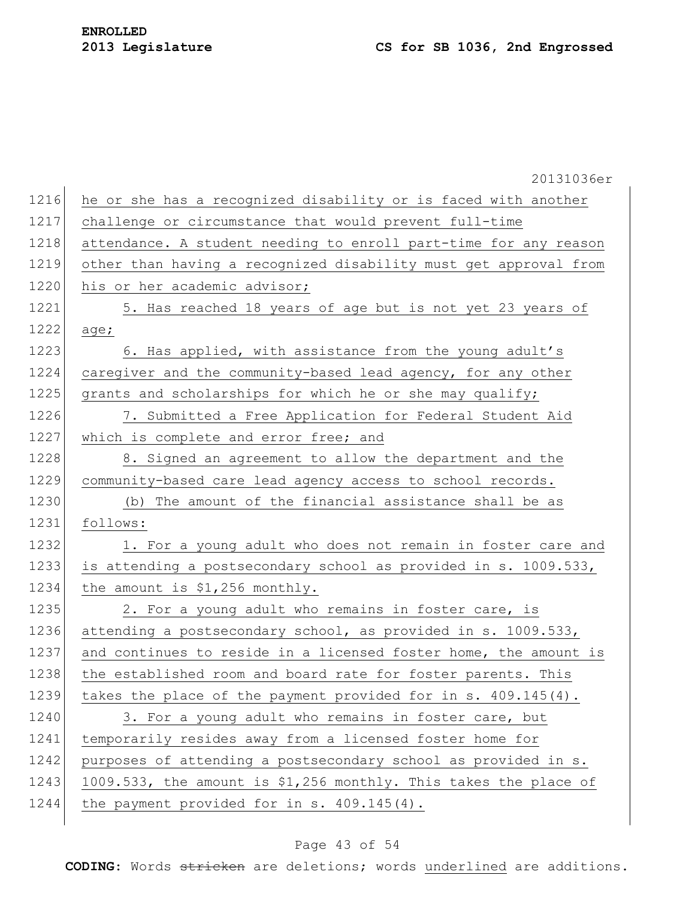|      | 20131036er                                                       |
|------|------------------------------------------------------------------|
| 1216 | he or she has a recognized disability or is faced with another   |
| 1217 | challenge or circumstance that would prevent full-time           |
| 1218 | attendance. A student needing to enroll part-time for any reason |
| 1219 | other than having a recognized disability must get approval from |
| 1220 | his or her academic advisor;                                     |
| 1221 | 5. Has reached 18 years of age but is not yet 23 years of        |
| 1222 | age;                                                             |
| 1223 | 6. Has applied, with assistance from the young adult's           |
| 1224 | caregiver and the community-based lead agency, for any other     |
| 1225 | grants and scholarships for which he or she may qualify;         |
| 1226 | 7. Submitted a Free Application for Federal Student Aid          |
| 1227 | which is complete and error free; and                            |
| 1228 | 8. Signed an agreement to allow the department and the           |
| 1229 | community-based care lead agency access to school records.       |
| 1230 | (b) The amount of the financial assistance shall be as           |
| 1231 | follows:                                                         |
| 1232 | 1. For a young adult who does not remain in foster care and      |
| 1233 | is attending a postsecondary school as provided in s. 1009.533,  |
| 1234 | the amount is \$1,256 monthly.                                   |
| 1235 | 2. For a young adult who remains in foster care, is              |
| 1236 | attending a postsecondary school, as provided in s. 1009.533,    |
| 1237 | and continues to reside in a licensed foster home, the amount is |
| 1238 | the established room and board rate for foster parents. This     |
| 1239 | takes the place of the payment provided for in s. 409.145(4).    |
| 1240 | 3. For a young adult who remains in foster care, but             |
| 1241 | temporarily resides away from a licensed foster home for         |
| 1242 | purposes of attending a postsecondary school as provided in s.   |
| 1243 | 1009.533, the amount is \$1,256 monthly. This takes the place of |
| 1244 | the payment provided for in s. 409.145(4).                       |

# Page 43 of 54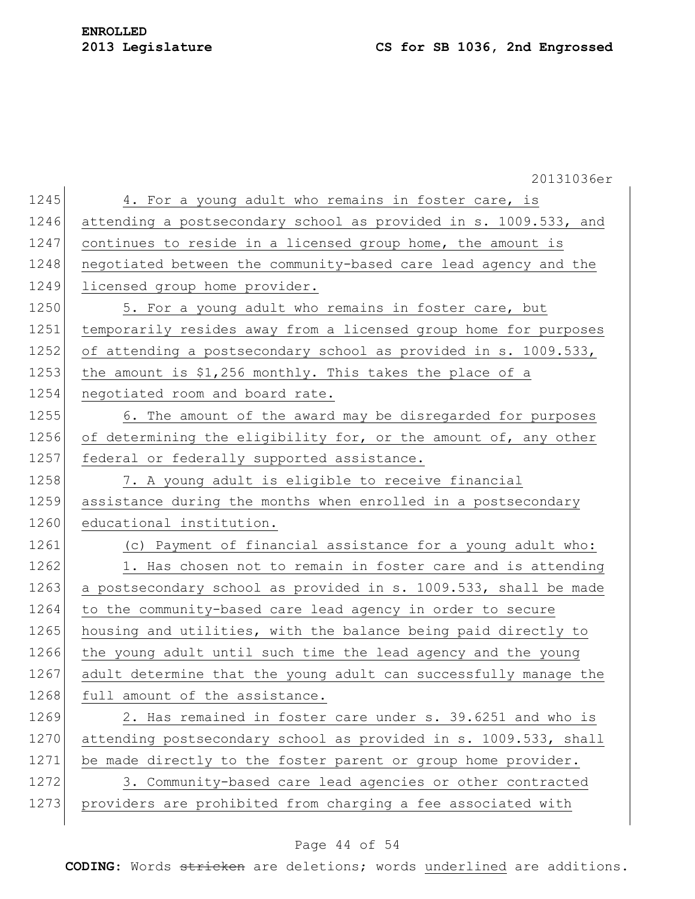# **ENROLLED**

## **2013 Legislature CS for SB 1036, 2nd Engrossed**

|      | 20131036er                                                       |
|------|------------------------------------------------------------------|
| 1245 | 4. For a young adult who remains in foster care, is              |
| 1246 | attending a postsecondary school as provided in s. 1009.533, and |
| 1247 | continues to reside in a licensed group home, the amount is      |
| 1248 | negotiated between the community-based care lead agency and the  |
| 1249 | licensed group home provider.                                    |
| 1250 | 5. For a young adult who remains in foster care, but             |
| 1251 | temporarily resides away from a licensed group home for purposes |
| 1252 | of attending a postsecondary school as provided in s. 1009.533,  |
| 1253 | the amount is \$1,256 monthly. This takes the place of a         |
| 1254 | negotiated room and board rate.                                  |
| 1255 | 6. The amount of the award may be disregarded for purposes       |
| 1256 | of determining the eligibility for, or the amount of, any other  |
| 1257 | federal or federally supported assistance.                       |
| 1258 | 7. A young adult is eligible to receive financial                |
| 1259 | assistance during the months when enrolled in a postsecondary    |
| 1260 | educational institution.                                         |
| 1261 | (c) Payment of financial assistance for a young adult who:       |
| 1262 | 1. Has chosen not to remain in foster care and is attending      |
| 1263 | a postsecondary school as provided in s. 1009.533, shall be made |
| 1264 | to the community-based care lead agency in order to secure       |
| 1265 | housing and utilities, with the balance being paid directly to   |
| 1266 | the young adult until such time the lead agency and the young    |
| 1267 | adult determine that the young adult can successfully manage the |
| 1268 | full amount of the assistance.                                   |
| 1269 | 2. Has remained in foster care under s. 39.6251 and who is       |
| 1270 | attending postsecondary school as provided in s. 1009.533, shall |
| 1271 | be made directly to the foster parent or group home provider.    |
| 1272 | 3. Community-based care lead agencies or other contracted        |
| 1273 | providers are prohibited from charging a fee associated with     |

# Page 44 of 54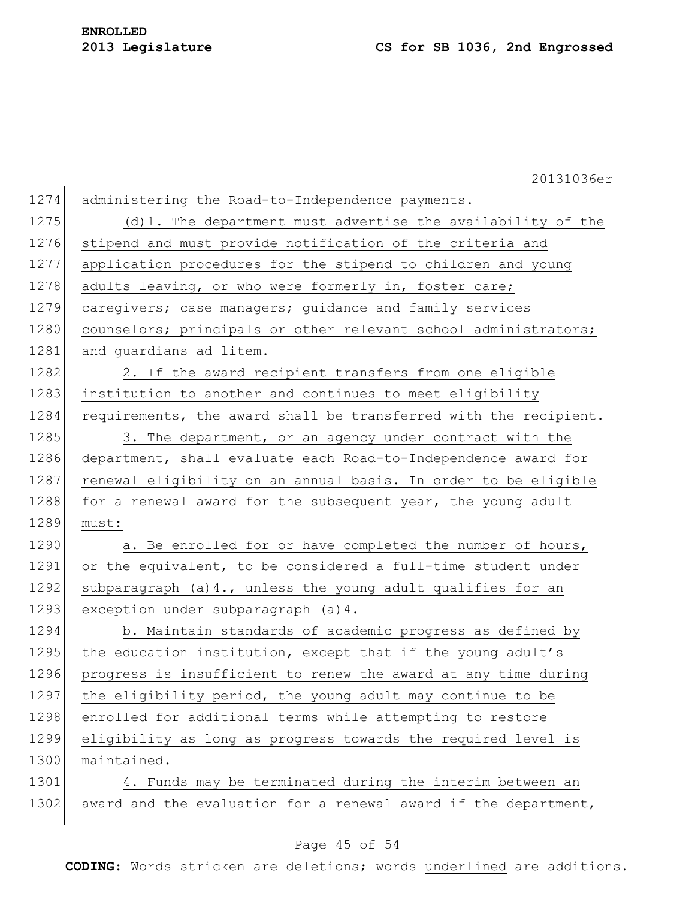|      | 20131036er                                                       |
|------|------------------------------------------------------------------|
| 1274 | administering the Road-to-Independence payments.                 |
| 1275 | (d)1. The department must advertise the availability of the      |
| 1276 | stipend and must provide notification of the criteria and        |
| 1277 | application procedures for the stipend to children and young     |
| 1278 | adults leaving, or who were formerly in, foster care;            |
| 1279 | caregivers; case managers; guidance and family services          |
| 1280 | counselors; principals or other relevant school administrators;  |
| 1281 | and quardians ad litem.                                          |
| 1282 | 2. If the award recipient transfers from one eligible            |
| 1283 | institution to another and continues to meet eligibility         |
| 1284 | requirements, the award shall be transferred with the recipient. |
| 1285 | 3. The department, or an agency under contract with the          |
| 1286 | department, shall evaluate each Road-to-Independence award for   |
| 1287 | renewal eligibility on an annual basis. In order to be eligible  |
| 1288 | for a renewal award for the subsequent year, the young adult     |
| 1289 | must:                                                            |
| 1290 | a. Be enrolled for or have completed the number of hours,        |
| 1291 | or the equivalent, to be considered a full-time student under    |
| 1292 | subparagraph (a) 4., unless the young adult qualifies for an     |
| 1293 | exception under subparagraph (a) 4.                              |
| 1294 | b. Maintain standards of academic progress as defined by         |
| 1295 | the education institution, except that if the young adult's      |
| 1296 | progress is insufficient to renew the award at any time during   |
| 1297 | the eligibility period, the young adult may continue to be       |
| 1298 | enrolled for additional terms while attempting to restore        |
| 1299 | eligibility as long as progress towards the required level is    |
| 1300 | maintained.                                                      |
| 1301 | 4. Funds may be terminated during the interim between an         |
| 1302 | award and the evaluation for a renewal award if the department,  |
|      |                                                                  |

# Page 45 of 54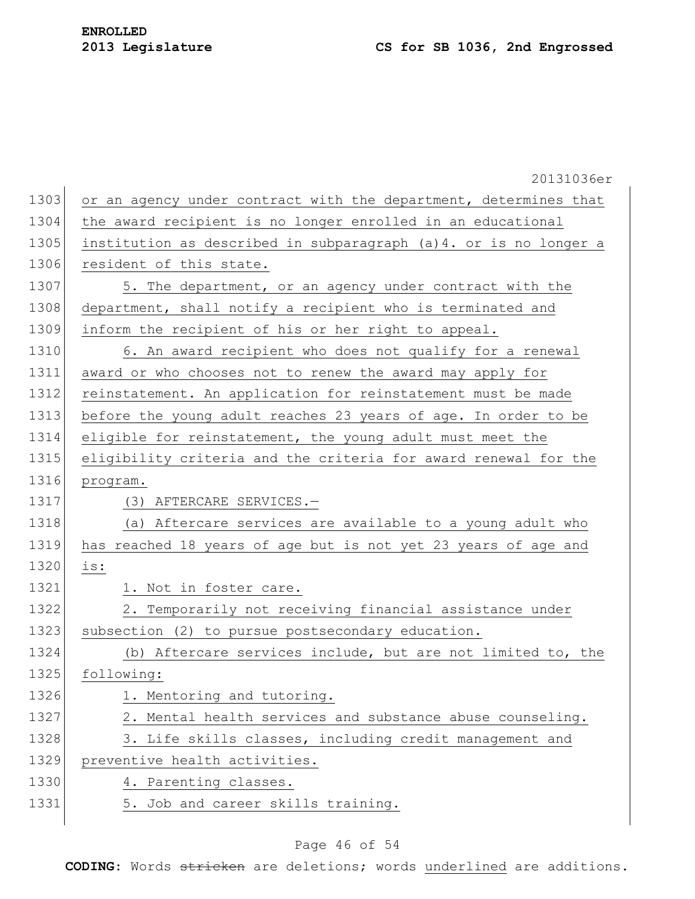|      | 20131036er                                                       |
|------|------------------------------------------------------------------|
| 1303 | or an agency under contract with the department, determines that |
| 1304 | the award recipient is no longer enrolled in an educational      |
| 1305 | institution as described in subparagraph (a)4. or is no longer a |
| 1306 | resident of this state.                                          |
| 1307 | 5. The department, or an agency under contract with the          |
| 1308 | department, shall notify a recipient who is terminated and       |
| 1309 | inform the recipient of his or her right to appeal.              |
| 1310 | 6. An award recipient who does not qualify for a renewal         |
| 1311 | award or who chooses not to renew the award may apply for        |
| 1312 | reinstatement. An application for reinstatement must be made     |
| 1313 | before the young adult reaches 23 years of age. In order to be   |
| 1314 | eligible for reinstatement, the young adult must meet the        |
| 1315 | eligibility criteria and the criteria for award renewal for the  |
| 1316 | program.                                                         |
| 1317 | (3) AFTERCARE SERVICES.-                                         |
| 1318 | (a) Aftercare services are available to a young adult who        |
| 1319 | has reached 18 years of age but is not yet 23 years of age and   |
| 1320 | is:                                                              |
| 1321 | 1. Not in foster care.                                           |
| 1322 | 2. Temporarily not receiving financial assistance under          |
| 1323 | subsection (2) to pursue postsecondary education.                |
| 1324 | (b) Aftercare services include, but are not limited to, the      |
| 1325 | following:                                                       |
| 1326 | 1. Mentoring and tutoring.                                       |
| 1327 | 2. Mental health services and substance abuse counseling.        |
| 1328 | 3. Life skills classes, including credit management and          |
| 1329 | preventive health activities.                                    |
| 1330 | 4. Parenting classes.                                            |
| 1331 | 5. Job and career skills training.                               |
|      |                                                                  |

# Page 46 of 54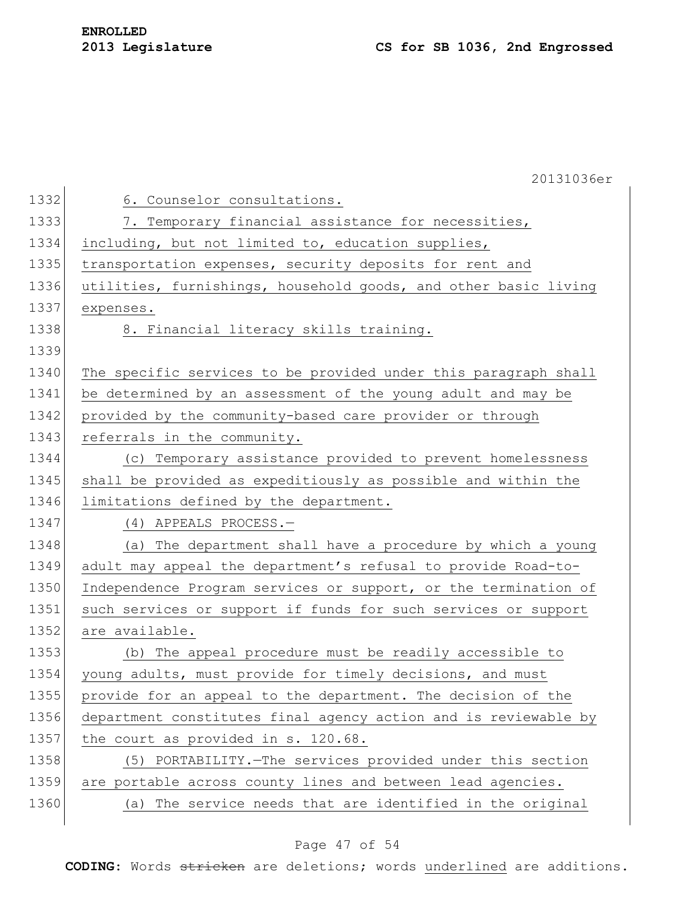| 1332 | 6. Counselor consultations.                                     |
|------|-----------------------------------------------------------------|
| 1333 | 7. Temporary financial assistance for necessities,              |
| 1334 | including, but not limited to, education supplies,              |
| 1335 | transportation expenses, security deposits for rent and         |
| 1336 | utilities, furnishings, household goods, and other basic living |
| 1337 | expenses.                                                       |
| 1338 | 8. Financial literacy skills training.                          |
| 1339 |                                                                 |
| 1340 | The specific services to be provided under this paragraph shall |
| 1341 | be determined by an assessment of the young adult and may be    |
| 1342 | provided by the community-based care provider or through        |
| 1343 | referrals in the community.                                     |
| 1344 | (c) Temporary assistance provided to prevent homelessness       |
| 1345 | shall be provided as expeditiously as possible and within the   |
| 1346 | limitations defined by the department.                          |
| 1347 | (4) APPEALS PROCESS.-                                           |
| 1348 | (a) The department shall have a procedure by which a young      |
| 1349 | adult may appeal the department's refusal to provide Road-to-   |
| 1350 | Independence Program services or support, or the termination of |
| 1351 | such services or support if funds for such services or support  |
| 1352 | are available.                                                  |
| 1353 | (b) The appeal procedure must be readily accessible to          |
| 1354 | young adults, must provide for timely decisions, and must       |
| 1355 | provide for an appeal to the department. The decision of the    |
| 1356 | department constitutes final agency action and is reviewable by |
| 1357 | the court as provided in s. 120.68.                             |
| 1358 | (5) PORTABILITY. The services provided under this section       |
| 1359 | are portable across county lines and between lead agencies.     |
| 1360 | The service needs that are identified in the original<br>(a)    |
|      |                                                                 |

## Page 47 of 54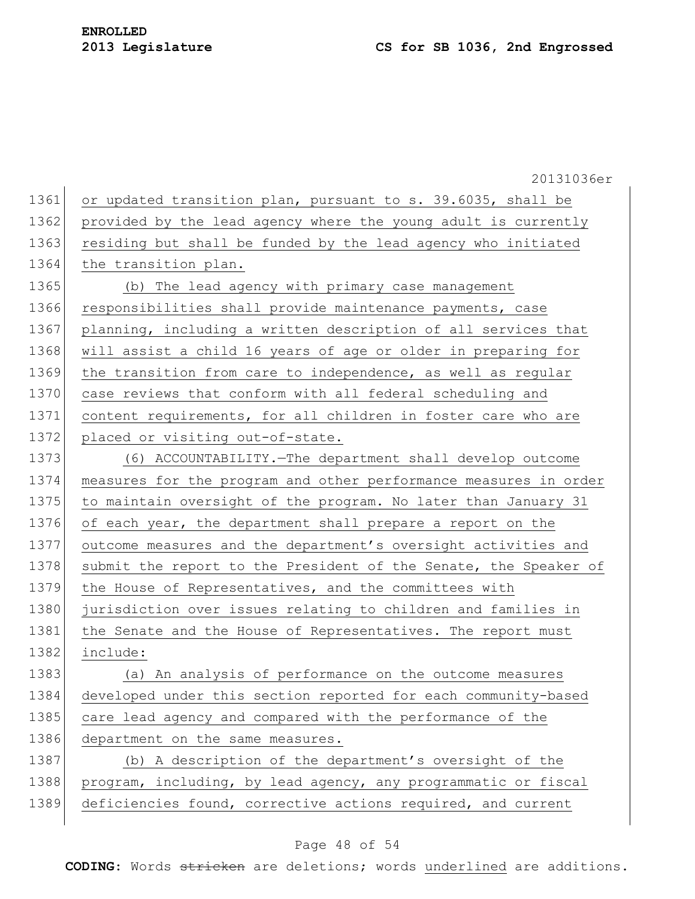20131036er 1361 or updated transition plan, pursuant to s. 39.6035, shall be 1362 provided by the lead agency where the young adult is currently 1363 residing but shall be funded by the lead agency who initiated 1364 the transition plan. 1365 (b) The lead agency with primary case management 1366 responsibilities shall provide maintenance payments, case 1367 planning, including a written description of all services that 1368 will assist a child 16 years of age or older in preparing for 1369 the transition from care to independence, as well as regular 1370 case reviews that conform with all federal scheduling and 1371 content requirements, for all children in foster care who are 1372 placed or visiting out-of-state. 1373 (6) ACCOUNTABILITY.—The department shall develop outcome 1374 measures for the program and other performance measures in order 1375 to maintain oversight of the program. No later than January 31 1376 of each year, the department shall prepare a report on the 1377 outcome measures and the department's oversight activities and 1378 submit the report to the President of the Senate, the Speaker of 1379 the House of Representatives, and the committees with 1380 jurisdiction over issues relating to children and families in 1381 the Senate and the House of Representatives. The report must 1382 include: 1383 (a) An analysis of performance on the outcome measures 1384 developed under this section reported for each community-based 1385 care lead agency and compared with the performance of the 1386 department on the same measures. 1387 (b) A description of the department's oversight of the 1388 program, including, by lead agency, any programmatic or fiscal 1389 deficiencies found, corrective actions required, and current

#### Page 48 of 54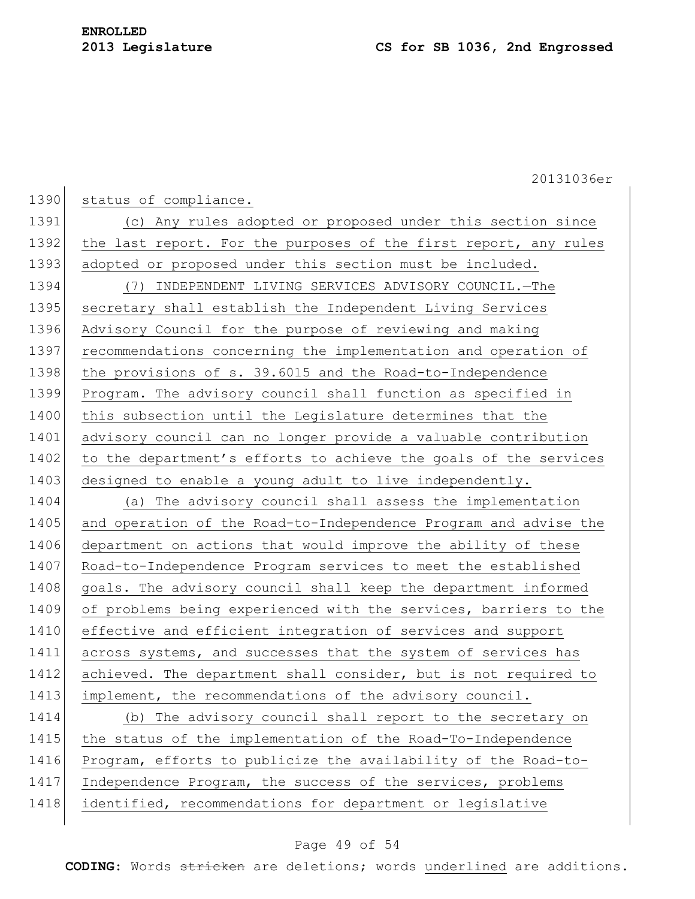20131036er 1390 status of compliance. 1391 (c) Any rules adopted or proposed under this section since 1392 the last report. For the purposes of the first report, any rules 1393 adopted or proposed under this section must be included. 1394 (7) INDEPENDENT LIVING SERVICES ADVISORY COUNCIL.—The 1395 secretary shall establish the Independent Living Services 1396 Advisory Council for the purpose of reviewing and making 1397 recommendations concerning the implementation and operation of 1398 the provisions of s. 39.6015 and the Road-to-Independence 1399 Program. The advisory council shall function as specified in 1400 this subsection until the Legislature determines that the 1401 advisory council can no longer provide a valuable contribution 1402 to the department's efforts to achieve the goals of the services 1403 designed to enable a young adult to live independently. 1404 (a) The advisory council shall assess the implementation 1405 and operation of the Road-to-Independence Program and advise the 1406 department on actions that would improve the ability of these 1407 Road-to-Independence Program services to meet the established 1408 goals. The advisory council shall keep the department informed 1409 of problems being experienced with the services, barriers to the 1410 effective and efficient integration of services and support 1411 across systems, and successes that the system of services has 1412 achieved. The department shall consider, but is not required to 1413 implement, the recommendations of the advisory council. 1414 (b) The advisory council shall report to the secretary on 1415 the status of the implementation of the Road-To-Independence 1416 Program, efforts to publicize the availability of the Road-to-1417 Independence Program, the success of the services, problems 1418 identified, recommendations for department or legislative

#### Page 49 of 54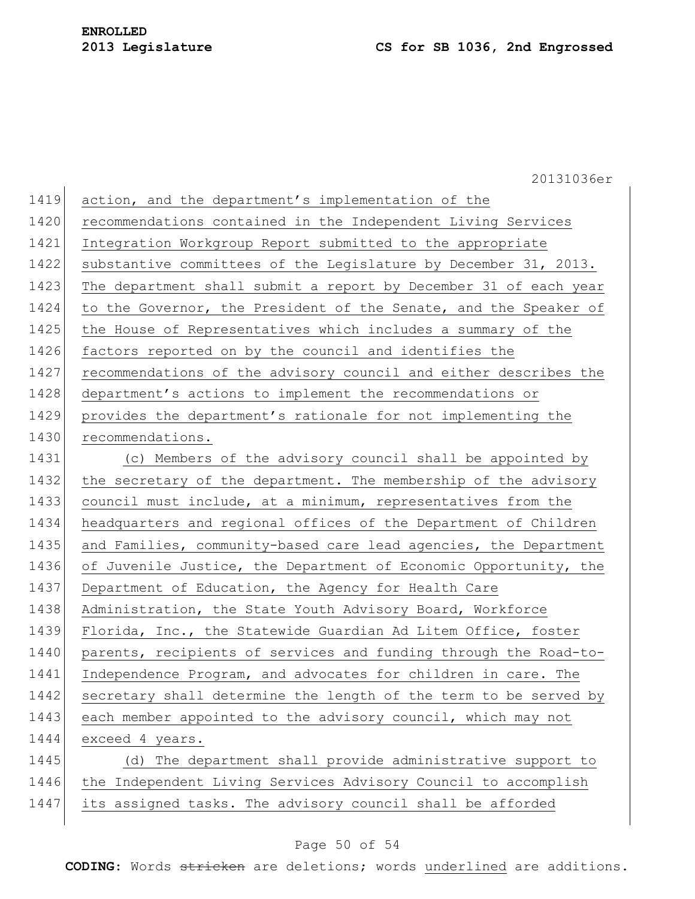20131036er 1419 action, and the department's implementation of the 1420 recommendations contained in the Independent Living Services 1421 Integration Workgroup Report submitted to the appropriate 1422 substantive committees of the Legislature by December 31, 2013. 1423 The department shall submit a report by December 31 of each year 1424 to the Governor, the President of the Senate, and the Speaker of 1425 | the House of Representatives which includes a summary of the 1426 factors reported on by the council and identifies the 1427 recommendations of the advisory council and either describes the 1428 department's actions to implement the recommendations or 1429 provides the department's rationale for not implementing the 1430 recommendations. 1431 (c) Members of the advisory council shall be appointed by 1432 the secretary of the department. The membership of the advisory 1433 council must include, at a minimum, representatives from the 1434 headquarters and regional offices of the Department of Children 1435 and Families, community-based care lead agencies, the Department 1436 of Juvenile Justice, the Department of Economic Opportunity, the 1437 Department of Education, the Agency for Health Care 1438 Administration, the State Youth Advisory Board, Workforce 1439 Florida, Inc., the Statewide Guardian Ad Litem Office, foster 1440 parents, recipients of services and funding through the Road-to-1441 Independence Program, and advocates for children in care. The 1442 secretary shall determine the length of the term to be served by 1443 each member appointed to the advisory council, which may not 1444 exceed 4 years. 1445 (d) The department shall provide administrative support to 1446 the Independent Living Services Advisory Council to accomplish 1447 its assigned tasks. The advisory council shall be afforded

#### Page 50 of 54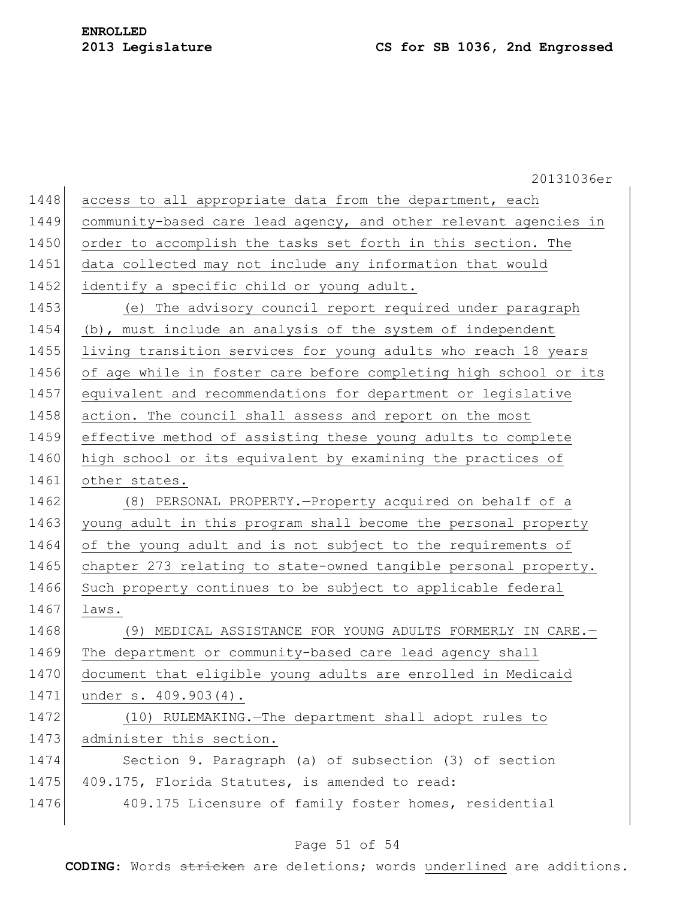|      | 20131036er                                                       |
|------|------------------------------------------------------------------|
| 1448 | access to all appropriate data from the department, each         |
| 1449 | community-based care lead agency, and other relevant agencies in |
| 1450 | order to accomplish the tasks set forth in this section. The     |
| 1451 | data collected may not include any information that would        |
| 1452 | identify a specific child or young adult.                        |
| 1453 | (e) The advisory council report required under paragraph         |
| 1454 | (b), must include an analysis of the system of independent       |
| 1455 | living transition services for young adults who reach 18 years   |
| 1456 | of age while in foster care before completing high school or its |
| 1457 | equivalent and recommendations for department or legislative     |
| 1458 | action. The council shall assess and report on the most          |
| 1459 | effective method of assisting these young adults to complete     |
| 1460 | high school or its equivalent by examining the practices of      |
| 1461 | other states.                                                    |
| 1462 | (8) PERSONAL PROPERTY. - Property acquired on behalf of a        |
| 1463 | young adult in this program shall become the personal property   |
| 1464 | of the young adult and is not subject to the requirements of     |
| 1465 | chapter 273 relating to state-owned tangible personal property.  |
| 1466 | Such property continues to be subject to applicable federal      |
| 1467 | laws.                                                            |
| 1468 | (9) MEDICAL ASSISTANCE FOR YOUNG ADULTS FORMERLY IN CARE.-       |
| 1469 | The department or community-based care lead agency shall         |
| 1470 | document that eligible young adults are enrolled in Medicaid     |
| 1471 | under s. 409.903(4).                                             |
| 1472 | (10) RULEMAKING. - The department shall adopt rules to           |
| 1473 | administer this section.                                         |
| 1474 | Section 9. Paragraph (a) of subsection (3) of section            |
| 1475 | 409.175, Florida Statutes, is amended to read:                   |
| 1476 | 409.175 Licensure of family foster homes, residential            |
|      |                                                                  |

# Page 51 of 54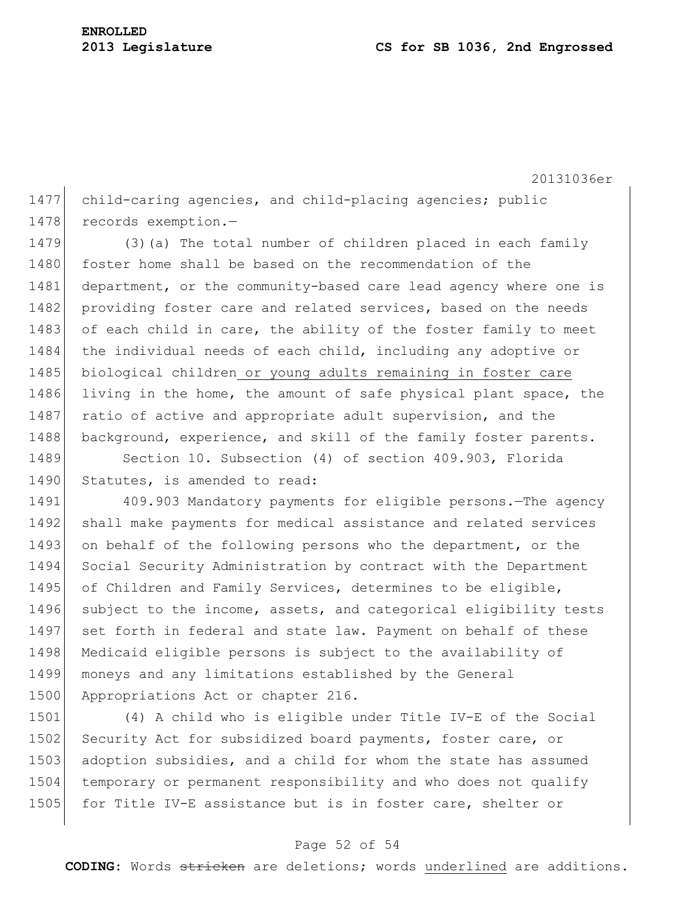1477 child-caring agencies, and child-placing agencies; public 1478 records exemption.-

1479 (3) (a) The total number of children placed in each family 1480 foster home shall be based on the recommendation of the 1481 department, or the community-based care lead agency where one is 1482 providing foster care and related services, based on the needs 1483 of each child in care, the ability of the foster family to meet 1484 the individual needs of each child, including any adoptive or 1485 biological children or young adults remaining in foster care 1486 living in the home, the amount of safe physical plant space, the 1487 ratio of active and appropriate adult supervision, and the 1488 background, experience, and skill of the family foster parents.

1489 Section 10. Subsection (4) of section 409.903, Florida 1490 Statutes, is amended to read:

1491 409.903 Mandatory payments for eligible persons.—The agency 1492 shall make payments for medical assistance and related services 1493 on behalf of the following persons who the department, or the 1494 Social Security Administration by contract with the Department 1495 of Children and Family Services, determines to be eligible, 1496 subject to the income, assets, and categorical eligibility tests 1497 set forth in federal and state law. Payment on behalf of these 1498 Medicaid eligible persons is subject to the availability of 1499 moneys and any limitations established by the General 1500 Appropriations Act or chapter 216.

1501 (4) A child who is eligible under Title IV-E of the Social 1502 Security Act for subsidized board payments, foster care, or 1503 adoption subsidies, and a child for whom the state has assumed 1504 temporary or permanent responsibility and who does not qualify 1505 for Title IV-E assistance but is in foster care, shelter or

#### Page 52 of 54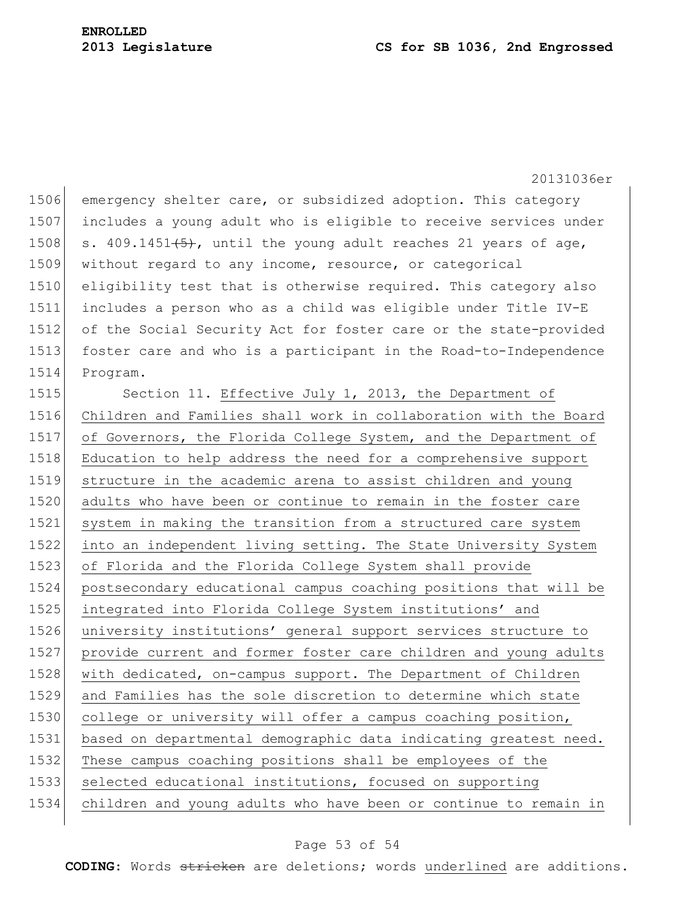20131036er emergency shelter care, or subsidized adoption. This category includes a young adult who is eligible to receive services under 1508 s. 409.1451 $(5)$ , until the young adult reaches 21 years of age, without regard to any income, resource, or categorical eligibility test that is otherwise required. This category also includes a person who as a child was eligible under Title IV-E 1512 of the Social Security Act for foster care or the state-provided foster care and who is a participant in the Road-to-Independence Program. 1515 Section 11. Effective July 1, 2013, the Department of Children and Families shall work in collaboration with the Board 1517 of Governors, the Florida College System, and the Department of Education to help address the need for a comprehensive support structure in the academic arena to assist children and young adults who have been or continue to remain in the foster care system in making the transition from a structured care system into an independent living setting. The State University System of Florida and the Florida College System shall provide postsecondary educational campus coaching positions that will be integrated into Florida College System institutions' and university institutions' general support services structure to provide current and former foster care children and young adults with dedicated, on-campus support. The Department of Children and Families has the sole discretion to determine which state 1530 college or university will offer a campus coaching position, based on departmental demographic data indicating greatest need. These campus coaching positions shall be employees of the selected educational institutions, focused on supporting children and young adults who have been or continue to remain in

#### Page 53 of 54